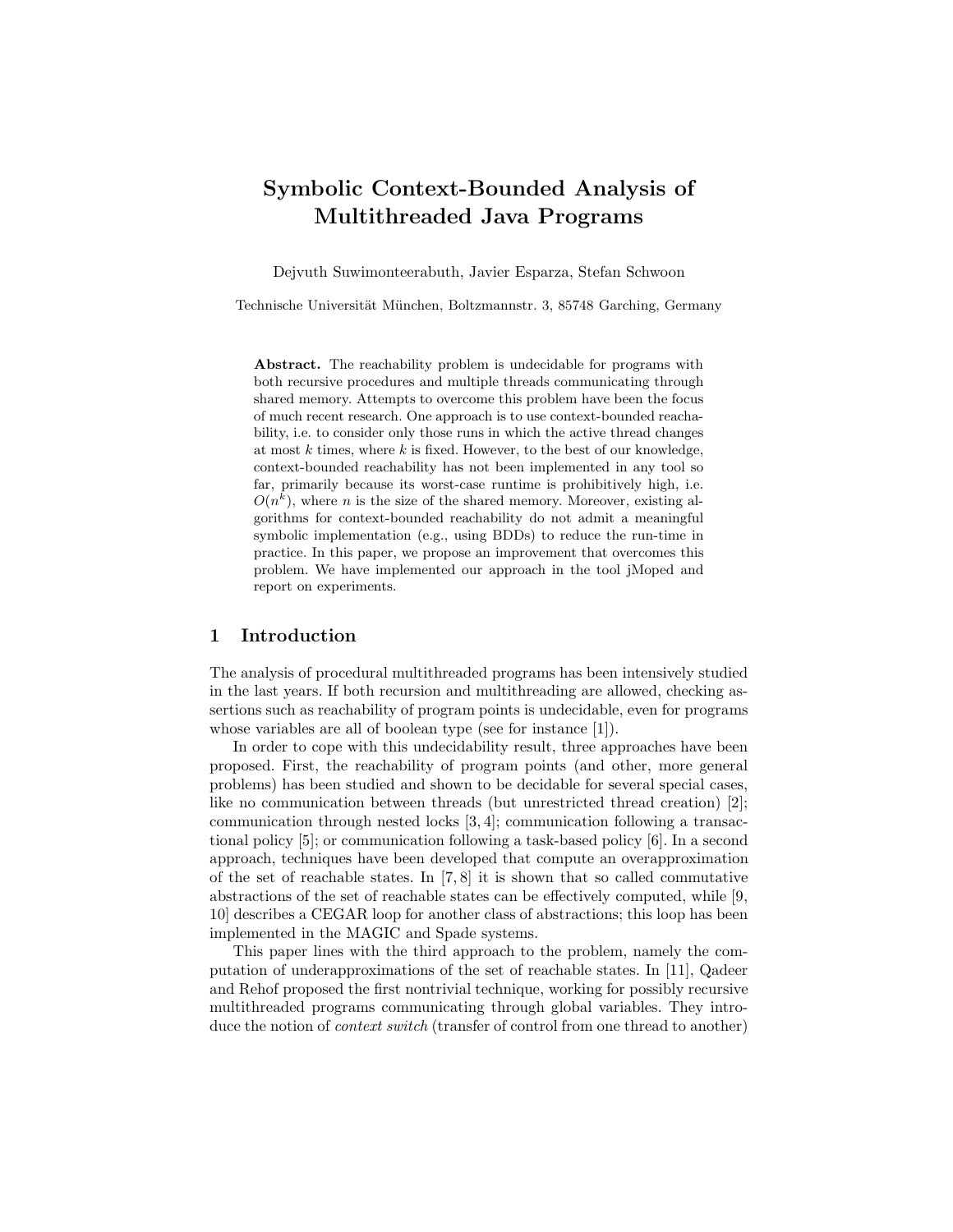# Symbolic Context-Bounded Analysis of Multithreaded Java Programs

Dejvuth Suwimonteerabuth, Javier Esparza, Stefan Schwoon

Technische Universität München, Boltzmannstr. 3, 85748 Garching, Germany

Abstract. The reachability problem is undecidable for programs with both recursive procedures and multiple threads communicating through shared memory. Attempts to overcome this problem have been the focus of much recent research. One approach is to use context-bounded reachability, i.e. to consider only those runs in which the active thread changes at most  $k$  times, where  $k$  is fixed. However, to the best of our knowledge, context-bounded reachability has not been implemented in any tool so far, primarily because its worst-case runtime is prohibitively high, i.e.  $O(n^k)$ , where n is the size of the shared memory. Moreover, existing algorithms for context-bounded reachability do not admit a meaningful symbolic implementation (e.g., using BDDs) to reduce the run-time in practice. In this paper, we propose an improvement that overcomes this problem. We have implemented our approach in the tool jMoped and report on experiments.

### 1 Introduction

The analysis of procedural multithreaded programs has been intensively studied in the last years. If both recursion and multithreading are allowed, checking assertions such as reachability of program points is undecidable, even for programs whose variables are all of boolean type (see for instance [1]).

In order to cope with this undecidability result, three approaches have been proposed. First, the reachability of program points (and other, more general problems) has been studied and shown to be decidable for several special cases, like no communication between threads (but unrestricted thread creation) [2]; communication through nested locks [3, 4]; communication following a transactional policy [5]; or communication following a task-based policy [6]. In a second approach, techniques have been developed that compute an overapproximation of the set of reachable states. In  $[7, 8]$  it is shown that so called commutative abstractions of the set of reachable states can be effectively computed, while [9, 10] describes a CEGAR loop for another class of abstractions; this loop has been implemented in the MAGIC and Spade systems.

This paper lines with the third approach to the problem, namely the computation of underapproximations of the set of reachable states. In [11], Qadeer and Rehof proposed the first nontrivial technique, working for possibly recursive multithreaded programs communicating through global variables. They introduce the notion of *context switch* (transfer of control from one thread to another)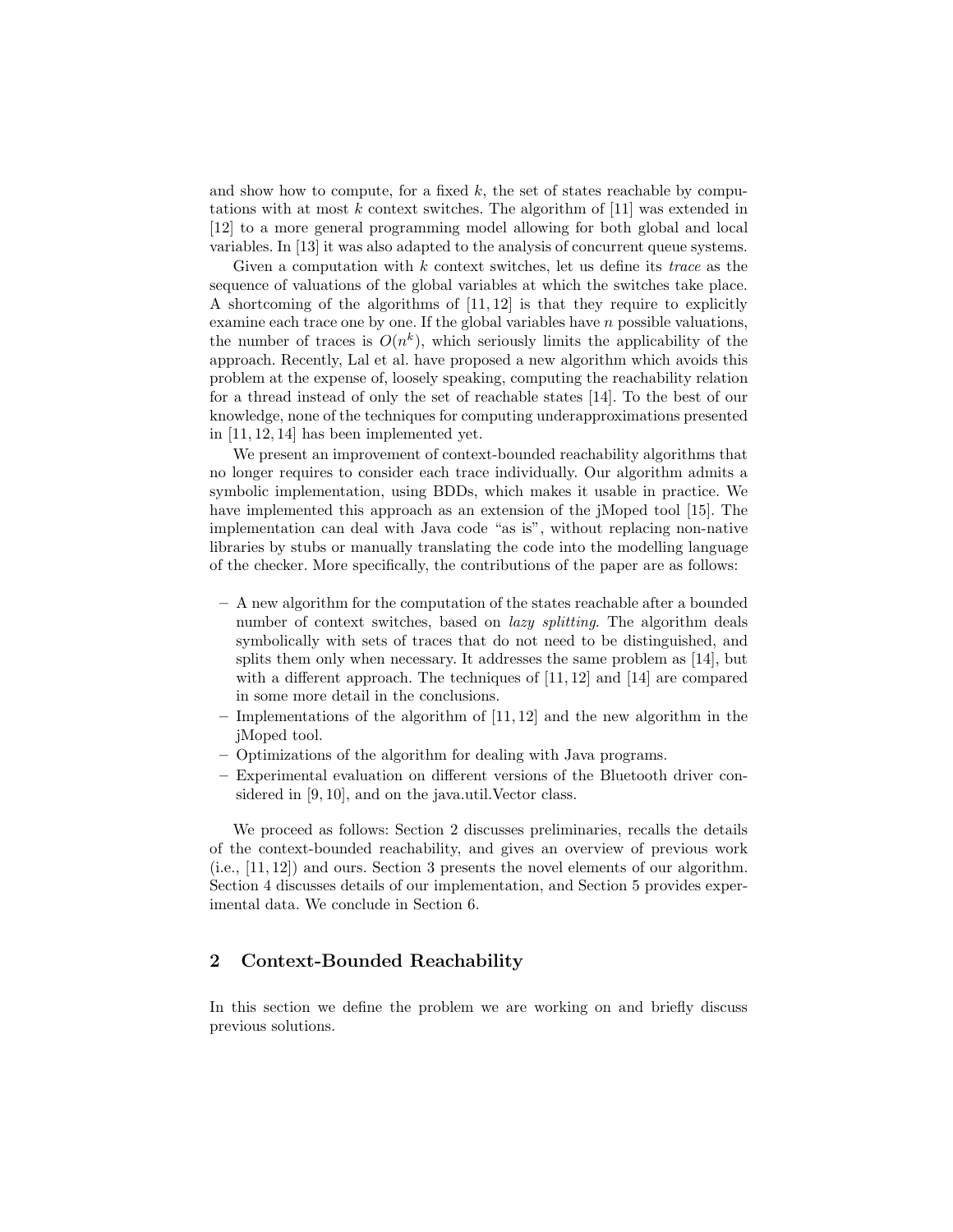and show how to compute, for a fixed  $k$ , the set of states reachable by computations with at most k context switches. The algorithm of [11] was extended in [12] to a more general programming model allowing for both global and local variables. In [13] it was also adapted to the analysis of concurrent queue systems.

Given a computation with  $k$  context switches, let us define its *trace* as the sequence of valuations of the global variables at which the switches take place. A shortcoming of the algorithms of [11, 12] is that they require to explicitly examine each trace one by one. If the global variables have  $n$  possible valuations, the number of traces is  $O(n^k)$ , which seriously limits the applicability of the approach. Recently, Lal et al. have proposed a new algorithm which avoids this problem at the expense of, loosely speaking, computing the reachability relation for a thread instead of only the set of reachable states [14]. To the best of our knowledge, none of the techniques for computing underapproximations presented in [11, 12, 14] has been implemented yet.

We present an improvement of context-bounded reachability algorithms that no longer requires to consider each trace individually. Our algorithm admits a symbolic implementation, using BDDs, which makes it usable in practice. We have implemented this approach as an extension of the jMoped tool [15]. The implementation can deal with Java code "as is", without replacing non-native libraries by stubs or manually translating the code into the modelling language of the checker. More specifically, the contributions of the paper are as follows:

- A new algorithm for the computation of the states reachable after a bounded number of context switches, based on *lazy splitting*. The algorithm deals symbolically with sets of traces that do not need to be distinguished, and splits them only when necessary. It addresses the same problem as [14], but with a different approach. The techniques of  $[11, 12]$  and  $[14]$  are compared in some more detail in the conclusions.
- Implementations of the algorithm of [11, 12] and the new algorithm in the jMoped tool.
- Optimizations of the algorithm for dealing with Java programs.
- Experimental evaluation on different versions of the Bluetooth driver considered in [9, 10], and on the java.util.Vector class.

We proceed as follows: Section 2 discusses preliminaries, recalls the details of the context-bounded reachability, and gives an overview of previous work (i.e., [11, 12]) and ours. Section 3 presents the novel elements of our algorithm. Section 4 discusses details of our implementation, and Section 5 provides experimental data. We conclude in Section 6.

# 2 Context-Bounded Reachability

In this section we define the problem we are working on and briefly discuss previous solutions.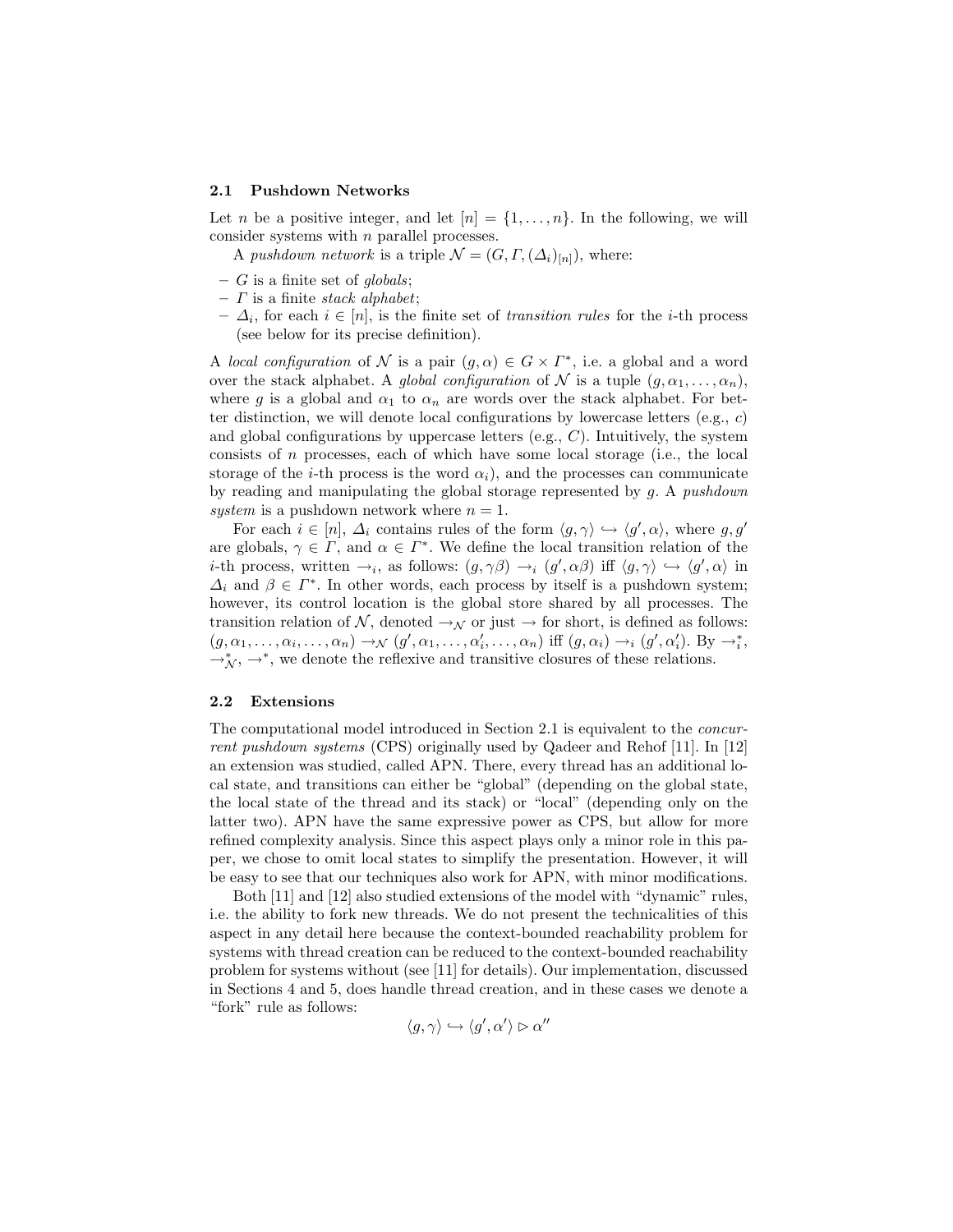#### 2.1 Pushdown Networks

Let *n* be a positive integer, and let  $[n] = \{1, \ldots, n\}$ . In the following, we will consider systems with n parallel processes.

A pushdown network is a triple  $\mathcal{N} = (G, \Gamma, (\Delta_i)_{[n]})$ , where:

- $G$  is a finite set of globals;
- $\Gamma$  is a finite stack alphabet;
- $\Delta_i$ , for each  $i \in [n]$ , is the finite set of *transition rules* for the *i*-th process (see below for its precise definition).

A local configuration of N is a pair  $(g, \alpha) \in G \times \Gamma^*$ , i.e. a global and a word over the stack alphabet. A global configuration of N is a tuple  $(g, \alpha_1, \ldots, \alpha_n)$ , where g is a global and  $\alpha_1$  to  $\alpha_n$  are words over the stack alphabet. For better distinction, we will denote local configurations by lowercase letters  $(e.g., c)$ and global configurations by uppercase letters  $(e.g., C)$ . Intuitively, the system consists of n processes, each of which have some local storage (i.e., the local storage of the *i*-th process is the word  $\alpha_i$ ), and the processes can communicate by reading and manipulating the global storage represented by g. A pushdown system is a pushdown network where  $n = 1$ .

For each  $i \in [n], \Delta_i$  contains rules of the form  $\langle g, \gamma \rangle \hookrightarrow \langle g', \alpha \rangle$ , where  $g, g'$ are globals,  $\gamma \in \Gamma$ , and  $\alpha \in \Gamma^*$ . We define the local transition relation of the *i*-th process, written  $\rightarrow_i$ , as follows:  $(g, \gamma \beta) \rightarrow_i (g', \alpha \beta)$  iff  $\langle g, \gamma \rangle \hookrightarrow \langle g', \alpha \rangle$  in  $\Delta_i$  and  $\beta \in \Gamma^*$ . In other words, each process by itself is a pushdown system; however, its control location is the global store shared by all processes. The transition relation of N, denoted  $\rightarrow_N$  or just  $\rightarrow$  for short, is defined as follows:  $(g, \alpha_1, \ldots, \alpha_i, \ldots, \alpha_n) \rightarrow_{\mathcal{N}} (g', \alpha_1, \ldots, \alpha_i', \ldots, \alpha_n)$  iff  $(g, \alpha_i) \rightarrow_i (g', \alpha_i')$ . By  $\rightarrow_i^*$ ,  $\rightarrow^*_{\mathcal{N}}, \rightarrow^*$ , we denote the reflexive and transitive closures of these relations.

### 2.2 Extensions

The computational model introduced in Section 2.1 is equivalent to the concurrent pushdown systems (CPS) originally used by Qadeer and Rehof [11]. In [12] an extension was studied, called APN. There, every thread has an additional local state, and transitions can either be "global" (depending on the global state, the local state of the thread and its stack) or "local" (depending only on the latter two). APN have the same expressive power as CPS, but allow for more refined complexity analysis. Since this aspect plays only a minor role in this paper, we chose to omit local states to simplify the presentation. However, it will be easy to see that our techniques also work for APN, with minor modifications.

Both [11] and [12] also studied extensions of the model with "dynamic" rules, i.e. the ability to fork new threads. We do not present the technicalities of this aspect in any detail here because the context-bounded reachability problem for systems with thread creation can be reduced to the context-bounded reachability problem for systems without (see [11] for details). Our implementation, discussed in Sections 4 and 5, does handle thread creation, and in these cases we denote a "fork" rule as follows:

$$
\langle g, \gamma \rangle \hookrightarrow \langle g', \alpha' \rangle \rhd \alpha''
$$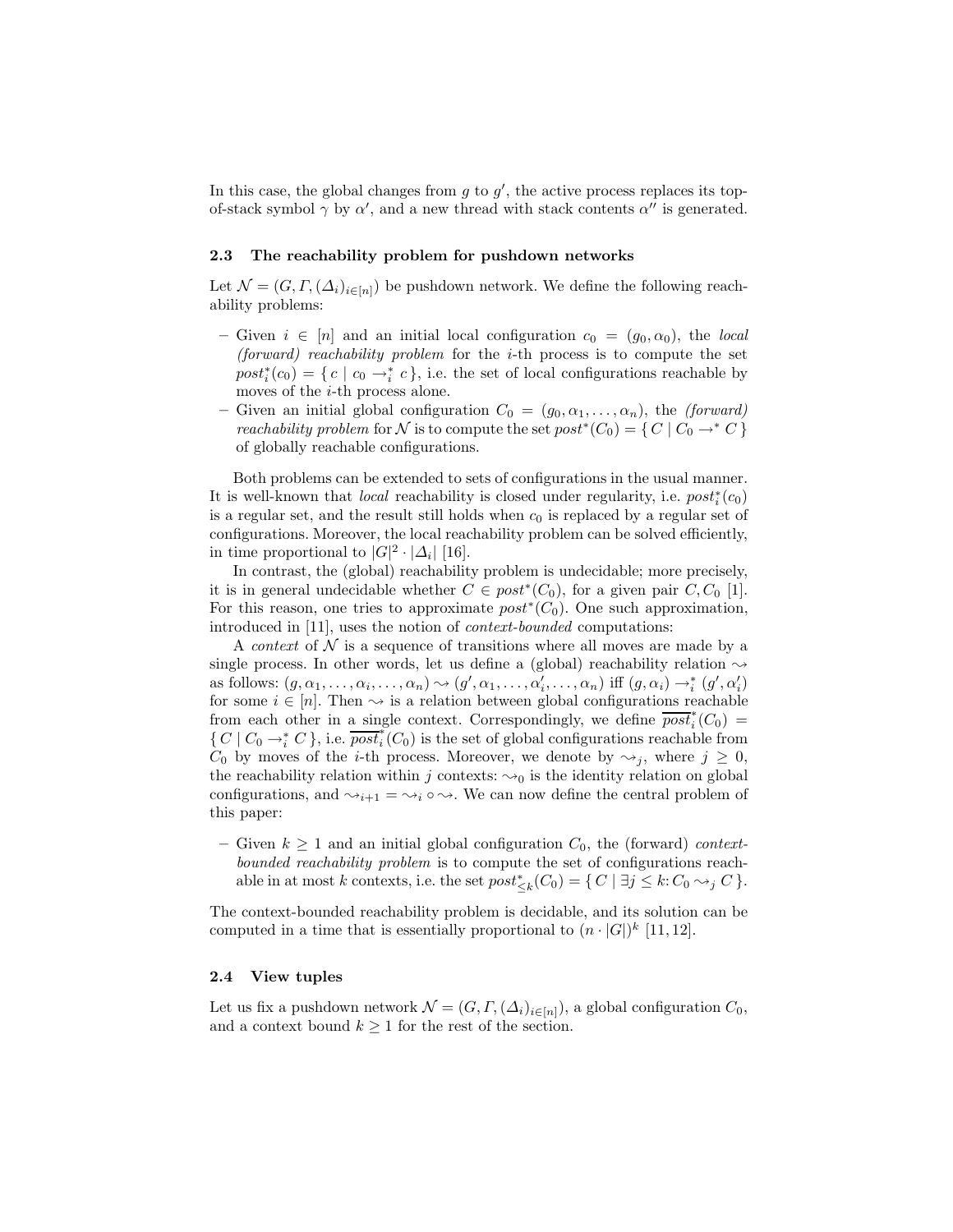In this case, the global changes from  $g$  to  $g'$ , the active process replaces its topof-stack symbol  $\gamma$  by  $\alpha'$ , and a new thread with stack contents  $\alpha''$  is generated.

### 2.3 The reachability problem for pushdown networks

Let  $\mathcal{N} = (G, \Gamma, (\Delta_i)_{i \in [n]})$  be pushdown network. We define the following reachability problems:

- Given  $i \in [n]$  and an initial local configuration  $c_0 = (g_0, \alpha_0)$ , the local (forward) reachability problem for the  $i$ -th process is to compute the set  $post_i^*(c_0) = \{ c \mid c_0 \rightarrow_i^* c \},$  i.e. the set of local configurations reachable by moves of the *i*-th process alone.
- Given an initial global configuration  $C_0 = (g_0, \alpha_1, \ldots, \alpha_n)$ , the *(forward) reachability problem* for  $N$  is to compute the set  $post^*(C_0) = \{ C \mid C_0 \to ^* C \}$ of globally reachable configurations.

Both problems can be extended to sets of configurations in the usual manner. It is well-known that *local* reachability is closed under regularity, i.e.  $post_i^*(c_0)$ is a regular set, and the result still holds when  $c_0$  is replaced by a regular set of configurations. Moreover, the local reachability problem can be solved efficiently, in time proportional to  $|G|^2 \cdot |\Delta_i|$  [16].

In contrast, the (global) reachability problem is undecidable; more precisely, it is in general undecidable whether  $C \in post^*(C_0)$ , for a given pair  $C, C_0$  [1]. For this reason, one tries to approximate  $post^*(C_0)$ . One such approximation, introduced in [11], uses the notion of context-bounded computations:

A *context* of  $N$  is a sequence of transitions where all moves are made by a single process. In other words, let us define a (global) reachability relation  $\sim$ as follows:  $(g, \alpha_1, \ldots, \alpha_i, \ldots, \alpha_n) \rightsquigarrow (g', \alpha_1, \ldots, \alpha'_i, \ldots, \alpha_n)$  iff  $(g, \alpha_i) \rightarrow_i^* (g', \alpha'_i)$ for some  $i \in [n]$ . Then  $\sim$  is a relation between global configurations reachable from each other in a single context. Correspondingly, we define  $\overline{post_i^*(C_0)}$  =  $\{ C \mid C_0 \rightarrow_i^* C \}$ , i.e.  $\overline{post_i^*}(C_0)$  is the set of global configurations reachable from  $C_0$  by moves of the *i*-th process. Moreover, we denote by  $\sim_j$ , where  $j \geq 0$ , the reachability relation within j contexts:  $\sim_0$  is the identity relation on global configurations, and  $\leadsto_{i+1} = \leadsto_i \circ \leadsto$ . We can now define the central problem of this paper:

– Given  $k \geq 1$  and an initial global configuration  $C_0$ , the (forward) contextbounded reachability problem is to compute the set of configurations reachable in at most k contexts, i.e. the set  $post_{\leq k}^*(C_0) = \{ C \mid \exists j \le k : C_0 \leadsto_j C \}.$ 

The context-bounded reachability problem is decidable, and its solution can be computed in a time that is essentially proportional to  $(n \cdot |G|)^k$  [11, 12].

### 2.4 View tuples

Let us fix a pushdown network  $\mathcal{N} = (G, \Gamma, (\Delta_i)_{i \in [n]})$ , a global configuration  $C_0$ , and a context bound  $k \geq 1$  for the rest of the section.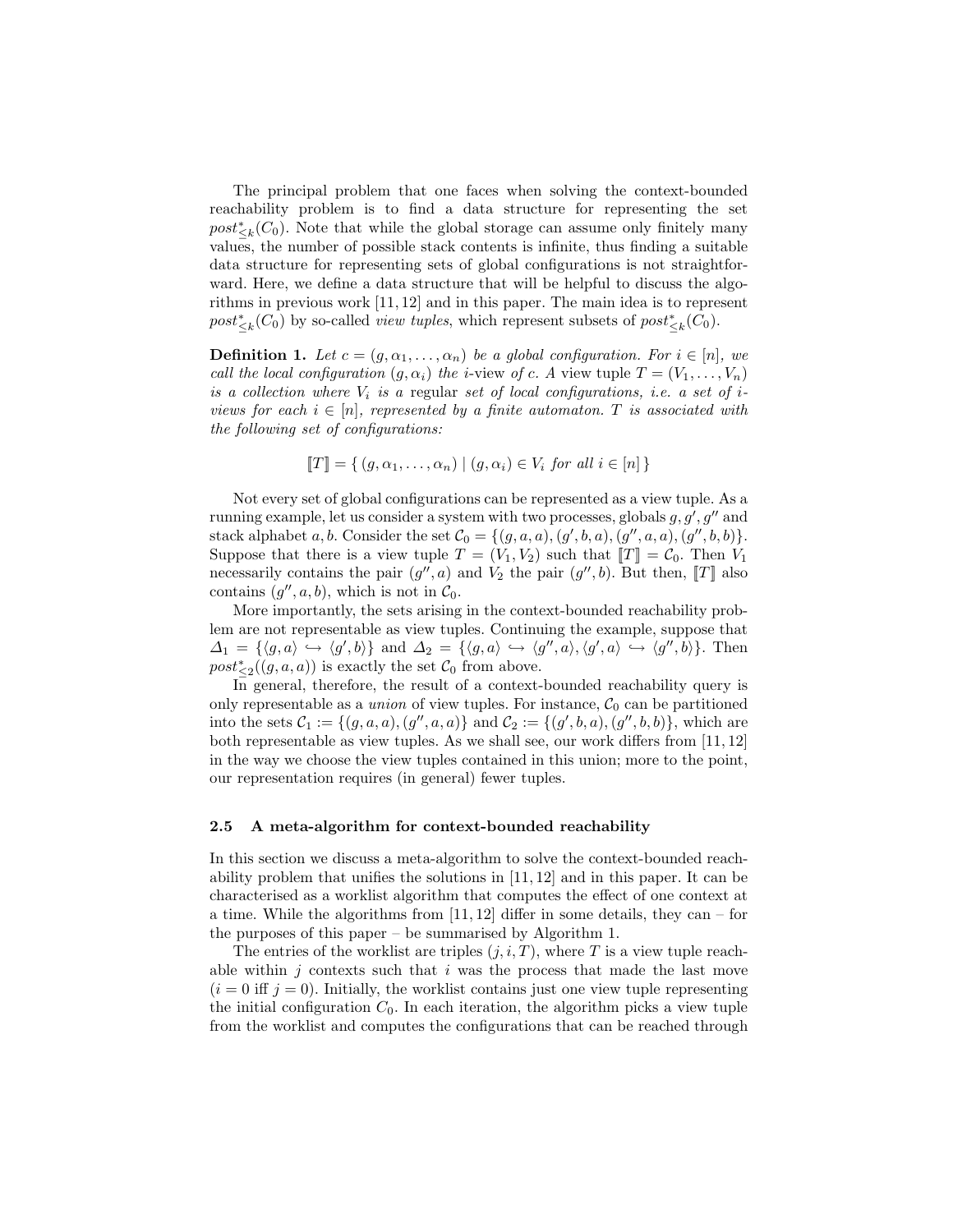The principal problem that one faces when solving the context-bounded reachability problem is to find a data structure for representing the set  $post^*_{\leq k}(C_0)$ . Note that while the global storage can assume only finitely many values, the number of possible stack contents is infinite, thus finding a suitable data structure for representing sets of global configurations is not straightforward. Here, we define a data structure that will be helpful to discuss the algorithms in previous work [11, 12] and in this paper. The main idea is to represent  $post^*_{\leq k}(C_0)$  by so-called *view tuples*, which represent subsets of  $post^*_{\leq k}(C_0)$ .

**Definition 1.** Let  $c = (g, \alpha_1, \ldots, \alpha_n)$  be a global configuration. For  $i \in [n]$ , we call the local configuration  $(g, \alpha_i)$  the *i*-view of c. A view tuple  $T = (V_1, \ldots, V_n)$ is a collection where  $V_i$  is a regular set of local configurations, i.e. a set of iviews for each  $i \in [n]$ , represented by a finite automaton. T is associated with the following set of configurations:

$$
\llbracket T \rrbracket = \{ (g, \alpha_1, \dots, \alpha_n) \mid (g, \alpha_i) \in V_i \text{ for all } i \in [n] \}
$$

Not every set of global configurations can be represented as a view tuple. As a running example, let us consider a system with two processes, globals  $g, g', g''$  and stack alphabet a, b. Consider the set  $C_0 = \{(g, a, a), (g', b, a), (g'', a, a), (g'', b, b)\}.$ Suppose that there is a view tuple  $T = (V_1, V_2)$  such that  $[[T]] = C_0$ . Then  $V_1$ necessarily contains the pair  $(g'', a)$  and  $V_2$  the pair  $(g'', b)$ . But then,  $[[T]]$  also contains  $(g'', a, b)$ , which is not in  $\mathcal{C}_0$ .

More importantly, the sets arising in the context-bounded reachability problem are not representable as view tuples. Continuing the example, suppose that  $\Delta_1 = \{ \langle g, a \rangle \leftrightarrow \langle g', b \rangle \}$  and  $\Delta_2 = \{ \langle g, a \rangle \leftrightarrow \langle g'', a \rangle, \langle g', a \rangle \leftrightarrow \langle g'', b \rangle \}.$  Then  $post^*_{\leq 2}((g, a, a))$  is exactly the set  $\mathcal{C}_0$  from above.

In general, therefore, the result of a context-bounded reachability query is only representable as a *union* of view tuples. For instance,  $\mathcal{C}_0$  can be partitioned into the sets  $C_1 := \{(g, a, a), (g'', a, a)\}\$  and  $C_2 := \{(g', b, a), (g'', b, b)\}\$ , which are both representable as view tuples. As we shall see, our work differs from [11, 12] in the way we choose the view tuples contained in this union; more to the point, our representation requires (in general) fewer tuples.

#### 2.5 A meta-algorithm for context-bounded reachability

In this section we discuss a meta-algorithm to solve the context-bounded reachability problem that unifies the solutions in  $[11, 12]$  and in this paper. It can be characterised as a worklist algorithm that computes the effect of one context at a time. While the algorithms from [11, 12] differ in some details, they can – for the purposes of this paper – be summarised by Algorithm 1.

The entries of the worklist are triples  $(j, i, T)$ , where T is a view tuple reachable within  $j$  contexts such that  $i$  was the process that made the last move  $(i = 0$  iff  $j = 0$ . Initially, the worklist contains just one view tuple representing the initial configuration  $C_0$ . In each iteration, the algorithm picks a view tuple from the worklist and computes the configurations that can be reached through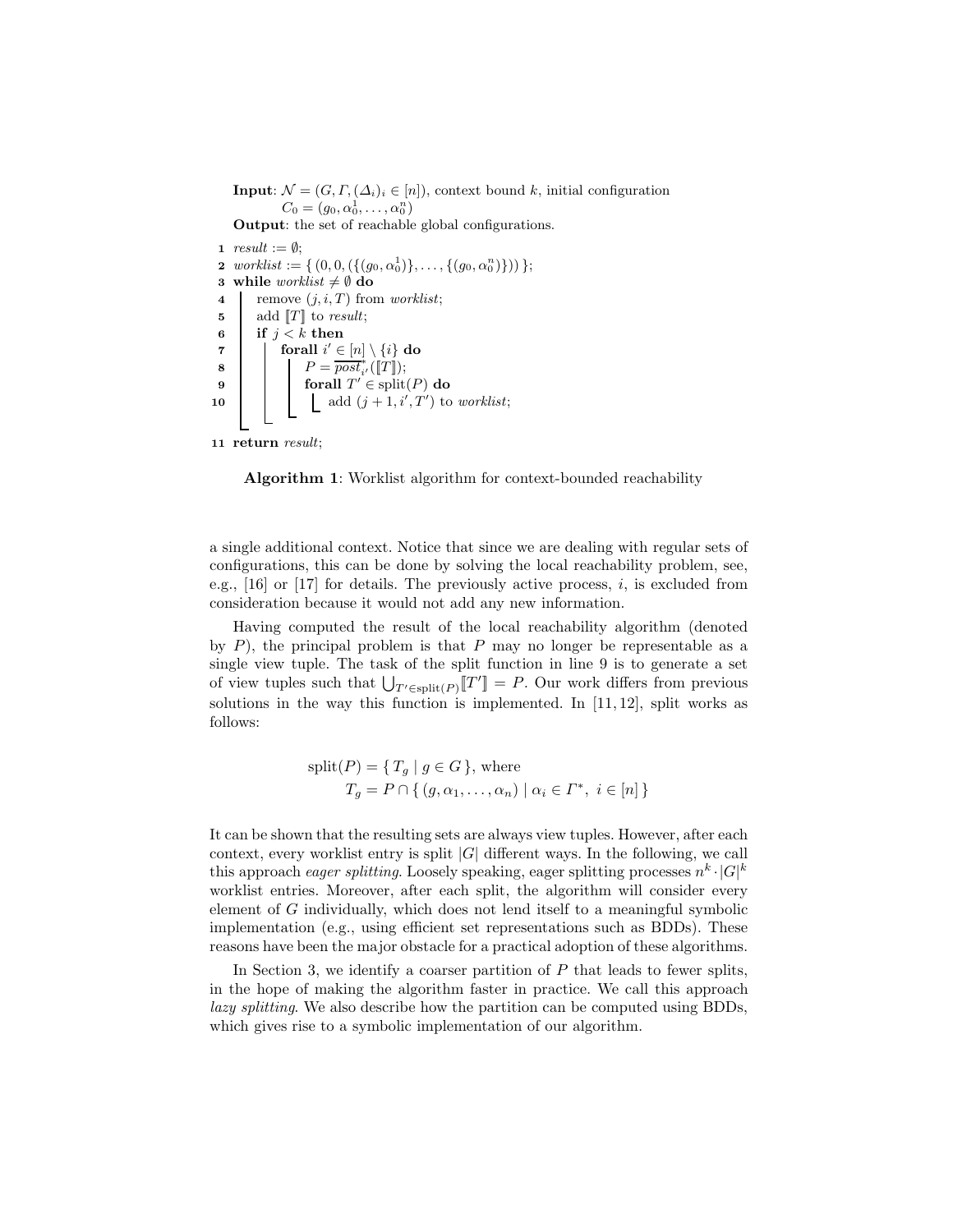**Input:**  $\mathcal{N} = (G, \Gamma, (\Delta_i)_i \in [n])$ , context bound k, initial configuration  $C_0 = (g_0, \alpha_0^1, \ldots, \alpha_0^n)$ Output: the set of reachable global configurations. 1  $result := \emptyset$ : 2 worklist := { $(0, 0, (\{(g_0, \alpha_0^1)\}, \ldots, \{(g_0, \alpha_0^n)\}))$  }; 3 while *worklist*  $\neq$   $\emptyset$  do 4 remove  $(j, i, T)$  from worklist;  $\mathbf{5}$  add  $[T]$  to result; 6 if  $j < k$  then 7  $\Box$  forall  $i' \in [n] \setminus \{i\}$  do 8  $P = \overline{post}_{i'}^*([\![T]\!]);$ 9 | corall  $T' \in split(P)$  do 10  $\Box$  add  $(j+1, i', T')$  to worklist; <sup>11</sup> return result;

Algorithm 1: Worklist algorithm for context-bounded reachability

a single additional context. Notice that since we are dealing with regular sets of configurations, this can be done by solving the local reachability problem, see, e.g., [16] or [17] for details. The previously active process, i, is excluded from consideration because it would not add any new information.

Having computed the result of the local reachability algorithm (denoted by  $P$ ), the principal problem is that  $P$  may no longer be representable as a single view tuple. The task of the split function in line 9 is to generate a set of view tuples such that  $\bigcup_{T' \in \text{split}(P)} [T'] = P$ . Our work differs from previous solutions in the way this function is implemented. In [11, 12], split works as follows:

split
$$
(P) = \{T_g | g \in G\}
$$
, where  

$$
T_g = P \cap \{ (g, \alpha_1, \dots, \alpha_n) | \alpha_i \in \Gamma^*, i \in [n] \}
$$

It can be shown that the resulting sets are always view tuples. However, after each context, every worklist entry is split  $|G|$  different ways. In the following, we call this approach *eager splitting*. Loosely speaking, eager splitting processes  $n^k \cdot |G|^k$ worklist entries. Moreover, after each split, the algorithm will consider every element of G individually, which does not lend itself to a meaningful symbolic implementation (e.g., using efficient set representations such as BDDs). These reasons have been the major obstacle for a practical adoption of these algorithms.

In Section 3, we identify a coarser partition of  $P$  that leads to fewer splits, in the hope of making the algorithm faster in practice. We call this approach lazy splitting. We also describe how the partition can be computed using BDDs, which gives rise to a symbolic implementation of our algorithm.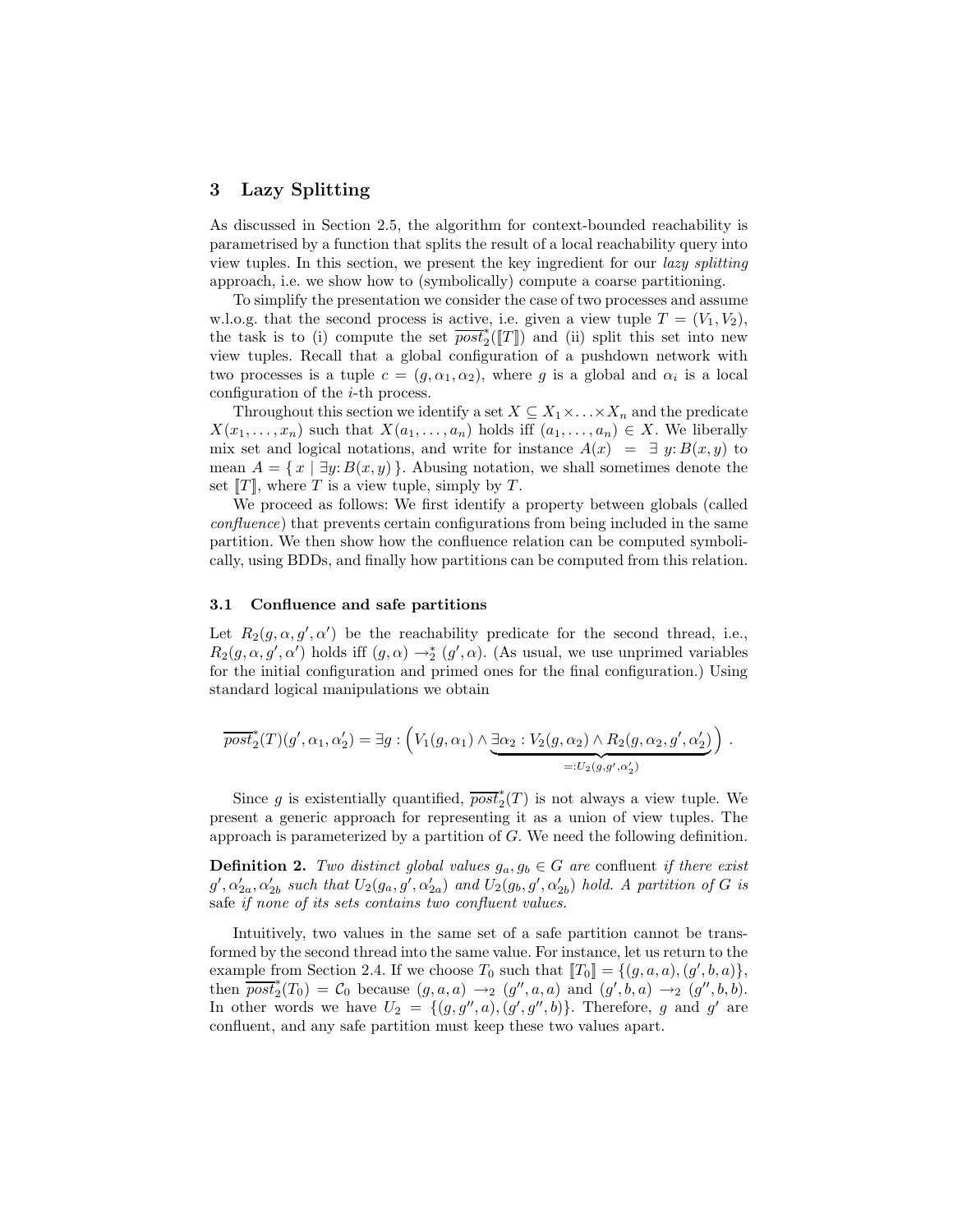### 3 Lazy Splitting

As discussed in Section 2.5, the algorithm for context-bounded reachability is parametrised by a function that splits the result of a local reachability query into view tuples. In this section, we present the key ingredient for our lazy splitting approach, i.e. we show how to (symbolically) compute a coarse partitioning.

To simplify the presentation we consider the case of two processes and assume w.l.o.g. that the second process is active, i.e. given a view tuple  $T = (V_1, V_2)$ , the task is to (i) compute the set  $\overline{post}^*_{2}([T])$  and (ii) split this set into new view tuples. Recall that a global configuration of a pushdown network with two processes is a tuple  $c = (g, \alpha_1, \alpha_2)$ , where g is a global and  $\alpha_i$  is a local configuration of the i-th process.

Throughout this section we identify a set  $X \subseteq X_1 \times \ldots \times X_n$  and the predicate  $X(x_1, \ldots, x_n)$  such that  $X(a_1, \ldots, a_n)$  holds iff  $(a_1, \ldots, a_n) \in X$ . We liberally mix set and logical notations, and write for instance  $A(x) = \exists y: B(x, y)$  to mean  $A = \{x \mid \exists y: B(x, y)\}\.$  Abusing notation, we shall sometimes denote the set  $[T]$ , where T is a view tuple, simply by T.

We proceed as follows: We first identify a property between globals (called confluence) that prevents certain configurations from being included in the same partition. We then show how the confluence relation can be computed symbolically, using BDDs, and finally how partitions can be computed from this relation.

### 3.1 Confluence and safe partitions

Let  $R_2(g, \alpha, g', \alpha')$  be the reachability predicate for the second thread, i.e.,  $R_2(g, \alpha, g', \alpha')$  holds iff  $(g, \alpha) \to_2^* (g', \alpha)$ . (As usual, we use unprimed variables for the initial configuration and primed ones for the final configuration.) Using standard logical manipulations we obtain

$$
\overline{post}_2^*(T)(g', \alpha_1, \alpha_2') = \exists g : \left(V_1(g, \alpha_1) \wedge \underbrace{\exists \alpha_2 : V_2(g, \alpha_2) \wedge R_2(g, \alpha_2, g', \alpha_2')}_{=: U_2(g, g', \alpha_2')} \right).
$$

Since g is existentially quantified,  $\overline{post}_2^*(T)$  is not always a view tuple. We present a generic approach for representing it as a union of view tuples. The approach is parameterized by a partition of G. We need the following definition.

**Definition 2.** Two distinct global values  $g_a, g_b \in G$  are confluent if there exist  $g', \alpha'_{2a}, \alpha'_{2b}$  such that  $U_2(g_a, g', \alpha'_{2a})$  and  $U_2(g_b, g', \alpha'_{2b})$  hold. A partition of G is safe if none of its sets contains two confluent values.

Intuitively, two values in the same set of a safe partition cannot be transformed by the second thread into the same value. For instance, let us return to the example from Section 2.4. If we choose  $T_0$  such that  $[[T_0] = \{(g, a, a), (g', b, a)\},\$ then  $\overline{post}_2^*(T_0) = C_0$  because  $(g, a, a) \rightarrow_2 (g'', a, a)$  and  $(g', b, a) \rightarrow_2 (g'', b, b)$ . In other words we have  $U_2 = \{(g, g'', a), (g', g'', b)\}.$  Therefore, g and g' are confluent, and any safe partition must keep these two values apart.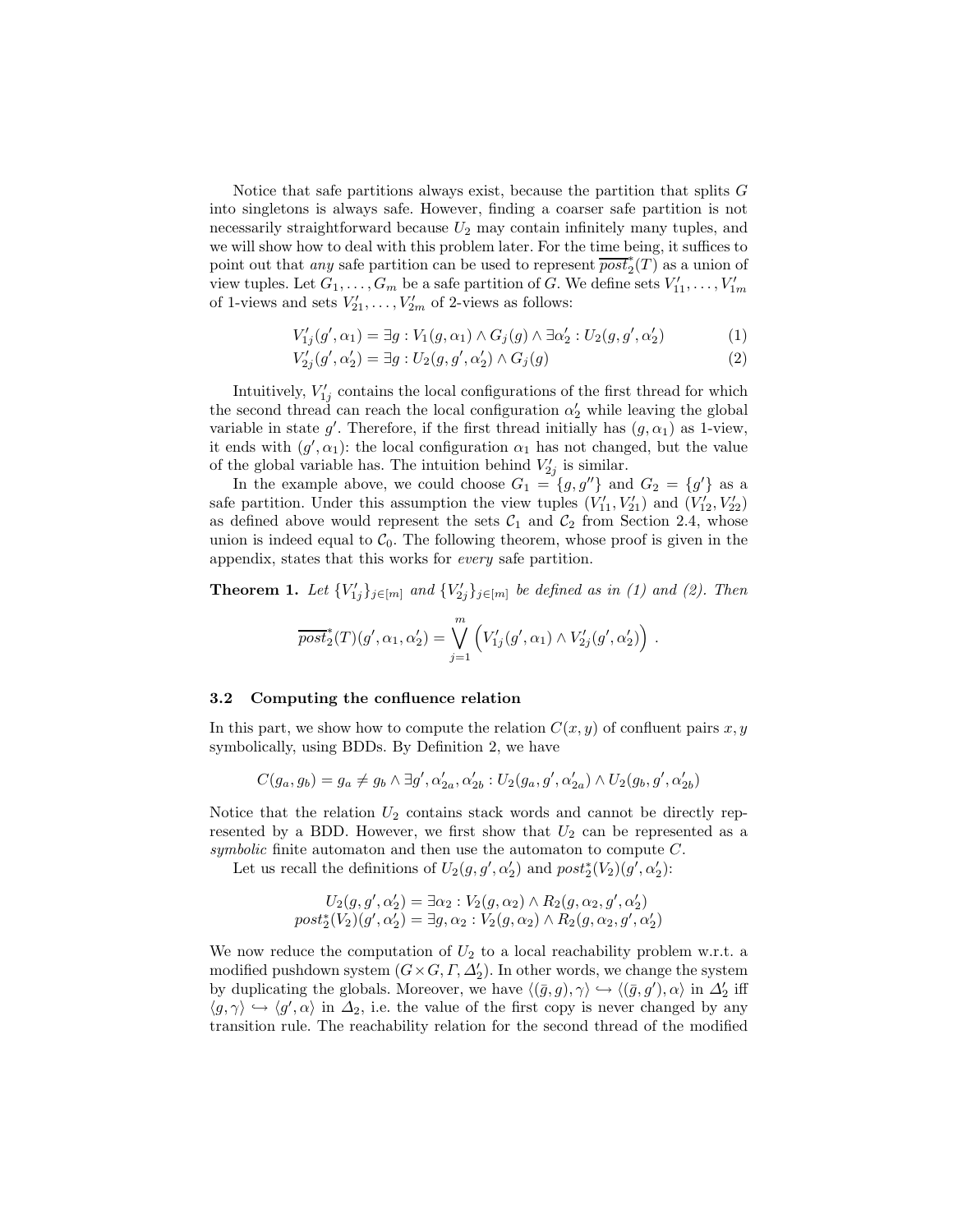Notice that safe partitions always exist, because the partition that splits G into singletons is always safe. However, finding a coarser safe partition is not necessarily straightforward because  $U_2$  may contain infinitely many tuples, and we will show how to deal with this problem later. For the time being, it suffices to point out that *any* safe partition can be used to represent  $\overrightarrow{post}_2^*(T)$  as a union of view tuples. Let  $G_1, \ldots, G_m$  be a safe partition of G. We define sets  $V'_{11}, \ldots, V'_{1m}$ of 1-views and sets  $V'_{21}, \ldots, V'_{2m}$  of 2-views as follows:

$$
V'_{1j}(g', \alpha_1) = \exists g: V_1(g, \alpha_1) \wedge G_j(g) \wedge \exists \alpha_2': U_2(g, g', \alpha_2') \tag{1}
$$

$$
V'_{2j}(g', \alpha'_2) = \exists g: U_2(g, g', \alpha'_2) \wedge G_j(g)
$$
\n
$$
(2)
$$

Intuitively,  $V'_{1j}$  contains the local configurations of the first thread for which the second thread can reach the local configuration  $\alpha'_2$  while leaving the global variable in state g'. Therefore, if the first thread initially has  $(g, \alpha_1)$  as 1-view, it ends with  $(g', \alpha_1)$ : the local configuration  $\alpha_1$  has not changed, but the value of the global variable has. The intuition behind  $V'_{2j}$  is similar.

In the example above, we could choose  $G_1 = \{g, g''\}$  and  $G_2 = \{g'\}$  as a safe partition. Under this assumption the view tuples  $(V'_{11}, V'_{21})$  and  $(V'_{12}, V'_{22})$ as defined above would represent the sets  $C_1$  and  $C_2$  from Section 2.4, whose union is indeed equal to  $C_0$ . The following theorem, whose proof is given in the appendix, states that this works for every safe partition.

**Theorem 1.** Let  $\{V'_{1j}\}_{j\in[m]}$  and  $\{V'_{2j}\}_{j\in[m]}$  be defined as in (1) and (2). Then

$$
\overline{post}_{2}^{*}(T)(g', \alpha_{1}, \alpha_{2}') = \bigvee_{j=1}^{m} (V'_{1j}(g', \alpha_{1}) \wedge V'_{2j}(g', \alpha_{2}')) .
$$

### 3.2 Computing the confluence relation

In this part, we show how to compute the relation  $C(x, y)$  of confluent pairs x, y symbolically, using BDDs. By Definition 2, we have

$$
C(g_a,g_b)=g_a\neq g_b\wedge \exists g', \alpha'_{2a}, \alpha'_{2b}:U_2(g_a,g',\alpha'_{2a})\wedge U_2(g_b,g',\alpha'_{2b})
$$

Notice that the relation  $U_2$  contains stack words and cannot be directly represented by a BDD. However, we first show that  $U_2$  can be represented as a symbolic finite automaton and then use the automaton to compute C.

Let us recall the definitions of  $U_2(g, g', \alpha'_2)$  and  $post_2^*(V_2)(g', \alpha'_2)$ :

$$
U_2(g, g', \alpha'_2) = \exists \alpha_2 : V_2(g, \alpha_2) \land R_2(g, \alpha_2, g', \alpha'_2)
$$
  

$$
post_2^*(V_2)(g', \alpha'_2) = \exists g, \alpha_2 : V_2(g, \alpha_2) \land R_2(g, \alpha_2, g', \alpha'_2)
$$

We now reduce the computation of  $U_2$  to a local reachability problem w.r.t. a modified pushdown system  $(G \times G, \Gamma, \Delta'_2)$ . In other words, we change the system by duplicating the globals. Moreover, we have  $\langle (\bar{g}, g), \gamma \rangle \hookrightarrow \langle (\bar{g}, g'), \alpha \rangle$  in  $\Delta'_2$  iff  $\langle g, \gamma \rangle \hookrightarrow \langle g', \alpha \rangle$  in  $\Delta_2$ , i.e. the value of the first copy is never changed by any transition rule. The reachability relation for the second thread of the modified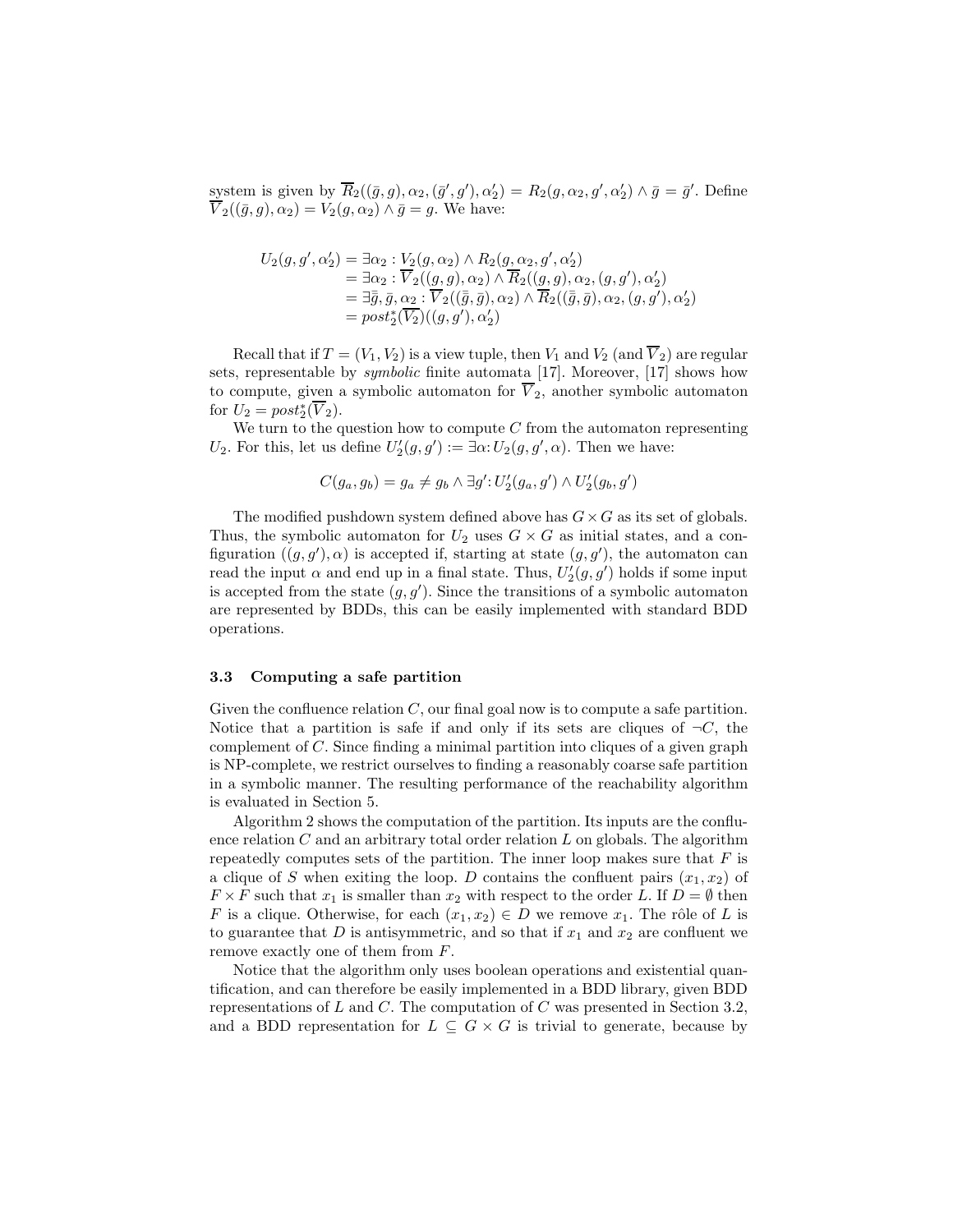system is given by  $\overline{R}_2((\bar{g}, g), \alpha_2, (\bar{g}', g'), \alpha'_2) = R_2(g, \alpha_2, g', \alpha'_2) \wedge \bar{g} = \bar{g}'$ . Define  $\overline{V}_2((\bar{g}, g), \alpha_2) = V_2(g, \alpha_2) \wedge \bar{g} = g$ . We have:

$$
U_2(g, g', \alpha'_2) = \exists \alpha_2 : V_2(g, \alpha_2) \wedge R_2(g, \alpha_2, g', \alpha'_2)
$$
  
=  $\exists \alpha_2 : \overline{V}_2((g, g), \alpha_2) \wedge \overline{R}_2((g, g), \alpha_2, (g, g'), \alpha'_2)$   
=  $\exists \overline{g}, \overline{g}, \alpha_2 : \overline{V}_2((\overline{g}, \overline{g}), \alpha_2) \wedge \overline{R}_2((\overline{g}, \overline{g}), \alpha_2, (g, g'), \alpha'_2)$   
=  $post_2^*(\overline{V}_2)((g, g'), \alpha'_2)$ 

Recall that if  $T = (V_1, V_2)$  is a view tuple, then  $V_1$  and  $V_2$  (and  $\overline{V}_2$ ) are regular sets, representable by symbolic finite automata [17]. Moreover, [17] shows how to compute, given a symbolic automaton for  $\overline{V}_2$ , another symbolic automaton for  $U_2 = post_2^*(\overline{V}_2)$ .

We turn to the question how to compute  $C$  from the automaton representing U<sub>2</sub>. For this, let us define  $U'_{2}(g, g') := \exists \alpha: U_{2}(g, g', \alpha)$ . Then we have:

$$
C(g_a, g_b) = g_a \neq g_b \land \exists g' : U'_2(g_a, g') \land U'_2(g_b, g')
$$

The modified pushdown system defined above has  $G \times G$  as its set of globals. Thus, the symbolic automaton for  $U_2$  uses  $G \times G$  as initial states, and a configuration  $((g, g'), \alpha)$  is accepted if, starting at state  $(g, g')$ , the automaton can read the input  $\alpha$  and end up in a final state. Thus,  $U_2'(g, g')$  holds if some input is accepted from the state  $(g, g')$ . Since the transitions of a symbolic automaton are represented by BDDs, this can be easily implemented with standard BDD operations.

#### 3.3 Computing a safe partition

Given the confluence relation  $C$ , our final goal now is to compute a safe partition. Notice that a partition is safe if and only if its sets are cliques of  $\neg C$ , the complement of C. Since finding a minimal partition into cliques of a given graph is NP-complete, we restrict ourselves to finding a reasonably coarse safe partition in a symbolic manner. The resulting performance of the reachability algorithm is evaluated in Section 5.

Algorithm 2 shows the computation of the partition. Its inputs are the confluence relation  $C$  and an arbitrary total order relation  $L$  on globals. The algorithm repeatedly computes sets of the partition. The inner loop makes sure that  $F$  is a clique of S when exiting the loop. D contains the confluent pairs  $(x_1, x_2)$  of  $F \times F$  such that  $x_1$  is smaller than  $x_2$  with respect to the order L. If  $D = \emptyset$  then F is a clique. Otherwise, for each  $(x_1, x_2) \in D$  we remove  $x_1$ . The rôle of L is to guarantee that D is antisymmetric, and so that if  $x_1$  and  $x_2$  are confluent we remove exactly one of them from F.

Notice that the algorithm only uses boolean operations and existential quantification, and can therefore be easily implemented in a BDD library, given BDD representations of  $L$  and  $C$ . The computation of  $C$  was presented in Section 3.2, and a BDD representation for  $L \subseteq G \times G$  is trivial to generate, because by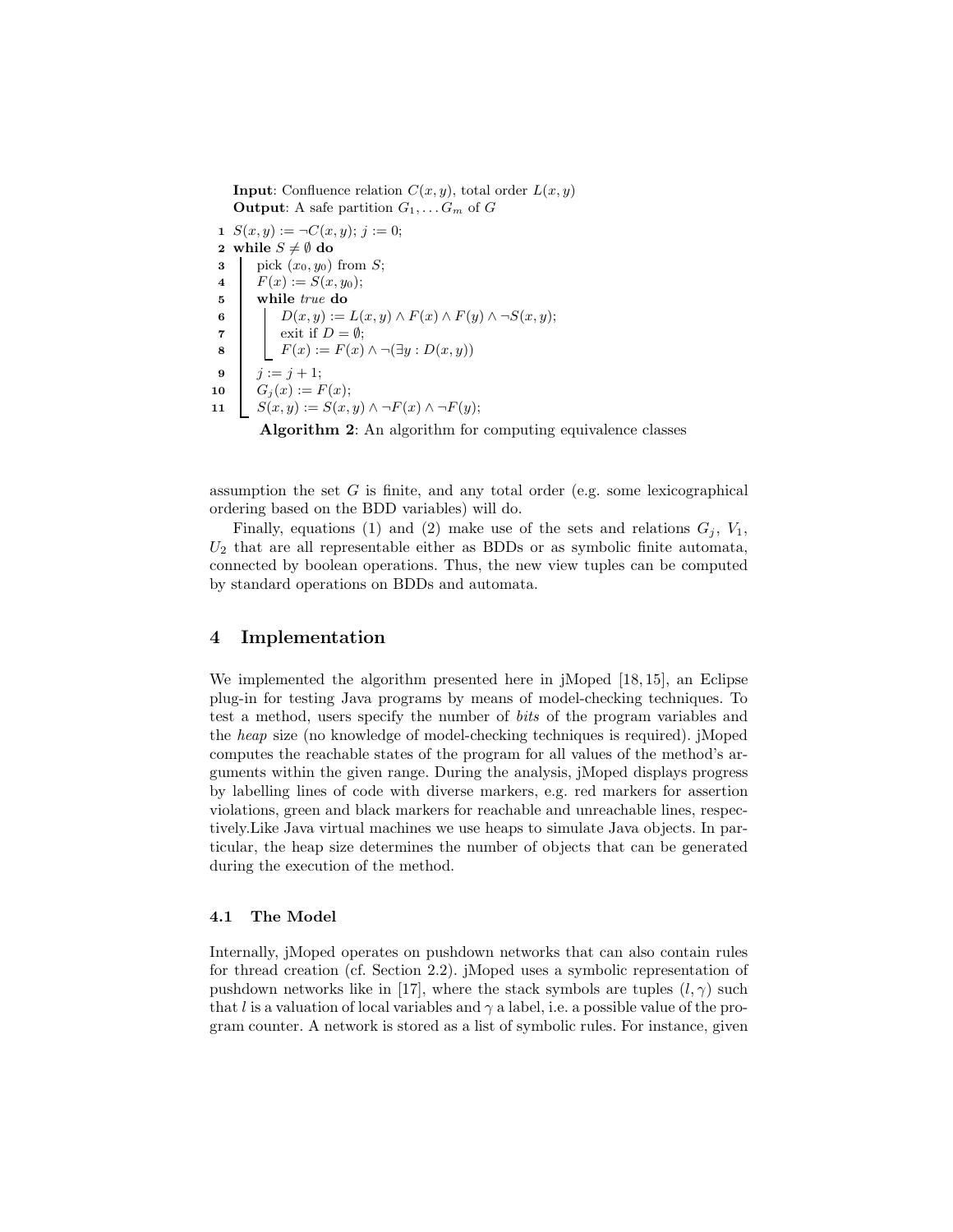**Input:** Confluence relation  $C(x, y)$ , total order  $L(x, y)$ **Output:** A safe partition  $G_1, \ldots, G_m$  of G

 $S(x, y) := \neg C(x, y); j := 0;$ 2 while  $S \neq \emptyset$  do  $\mathbf{3}$  pick  $(x_0, y_0)$  from S; 4 |  $F(x) := S(x, y_0);$  while true do  $D(x, y) := L(x, y) \wedge F(x) \wedge F(y) \wedge \neg S(x, y);$  exit if  $D = \emptyset$ ;  $F(x) := F(x) \wedge \neg(\exists y : D(x, y))$  $j := j + 1$ ;  $G_i(x) := F(x);$  $S(x, y) := S(x, y) \wedge \neg F(x) \wedge \neg F(y);$ 

Algorithm 2: An algorithm for computing equivalence classes

assumption the set  $G$  is finite, and any total order (e.g. some lexicographical ordering based on the BDD variables) will do.

Finally, equations (1) and (2) make use of the sets and relations  $G_i$ ,  $V_1$ ,  $U_2$  that are all representable either as BDDs or as symbolic finite automata, connected by boolean operations. Thus, the new view tuples can be computed by standard operations on BDDs and automata.

### 4 Implementation

We implemented the algorithm presented here in jMoped [18, 15], an Eclipse plug-in for testing Java programs by means of model-checking techniques. To test a method, users specify the number of bits of the program variables and the heap size (no knowledge of model-checking techniques is required). jMoped computes the reachable states of the program for all values of the method's arguments within the given range. During the analysis, jMoped displays progress by labelling lines of code with diverse markers, e.g. red markers for assertion violations, green and black markers for reachable and unreachable lines, respectively.Like Java virtual machines we use heaps to simulate Java objects. In particular, the heap size determines the number of objects that can be generated during the execution of the method.

### 4.1 The Model

Internally, jMoped operates on pushdown networks that can also contain rules for thread creation (cf. Section 2.2). jMoped uses a symbolic representation of pushdown networks like in [17], where the stack symbols are tuples  $(l, \gamma)$  such that l is a valuation of local variables and  $\gamma$  a label, i.e. a possible value of the program counter. A network is stored as a list of symbolic rules. For instance, given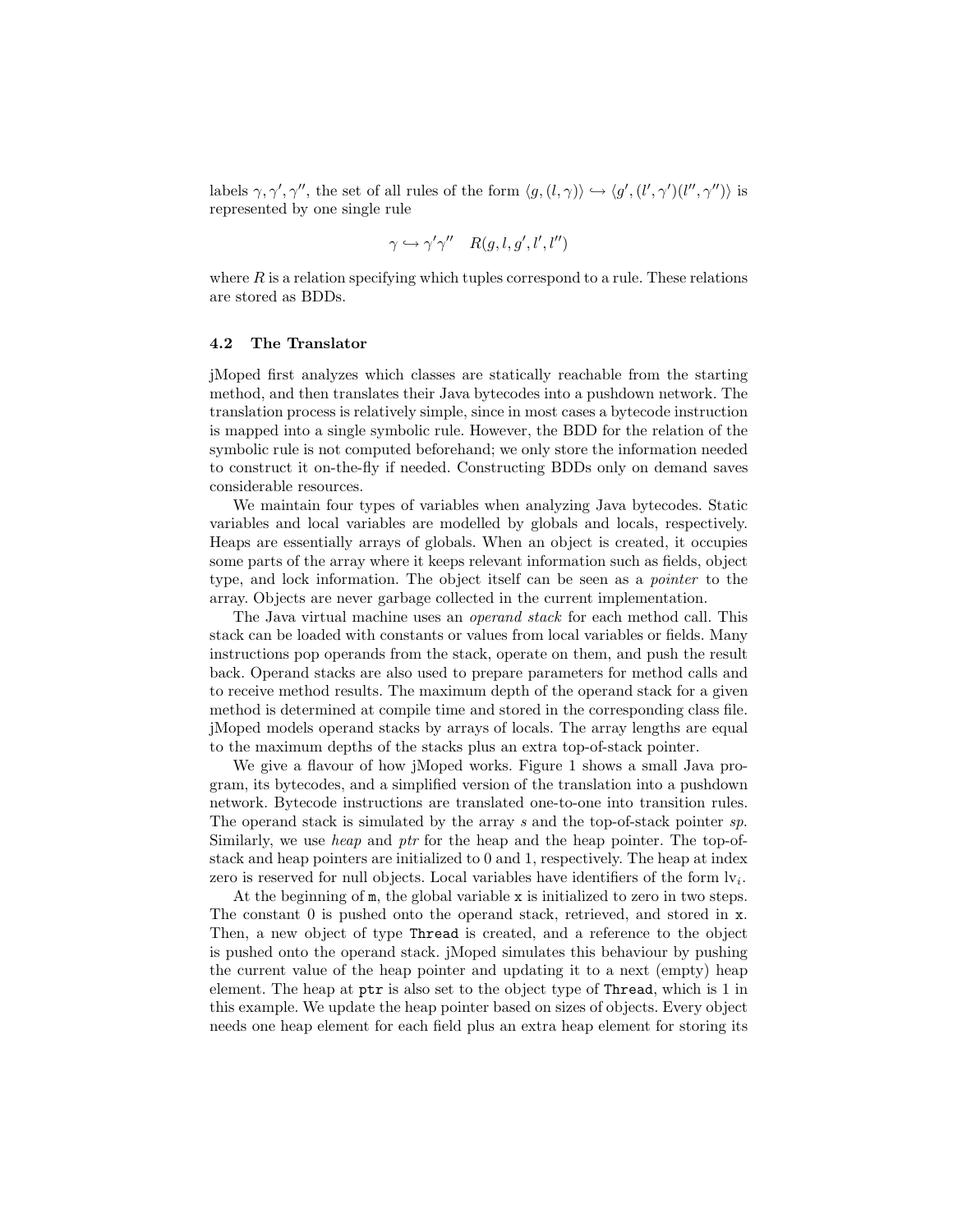labels  $\gamma, \gamma', \gamma''$ , the set of all rules of the form  $\langle g, (l, \gamma) \rangle \hookrightarrow \langle g', (l', \gamma') (l'', \gamma'') \rangle$  is represented by one single rule

$$
\gamma \hookrightarrow \gamma' \gamma'' \quad R(g, l, g', l', l'')
$$

where  $R$  is a relation specifying which tuples correspond to a rule. These relations are stored as BDDs.

#### 4.2 The Translator

jMoped first analyzes which classes are statically reachable from the starting method, and then translates their Java bytecodes into a pushdown network. The translation process is relatively simple, since in most cases a bytecode instruction is mapped into a single symbolic rule. However, the BDD for the relation of the symbolic rule is not computed beforehand; we only store the information needed to construct it on-the-fly if needed. Constructing BDDs only on demand saves considerable resources.

We maintain four types of variables when analyzing Java bytecodes. Static variables and local variables are modelled by globals and locals, respectively. Heaps are essentially arrays of globals. When an object is created, it occupies some parts of the array where it keeps relevant information such as fields, object type, and lock information. The object itself can be seen as a pointer to the array. Objects are never garbage collected in the current implementation.

The Java virtual machine uses an operand stack for each method call. This stack can be loaded with constants or values from local variables or fields. Many instructions pop operands from the stack, operate on them, and push the result back. Operand stacks are also used to prepare parameters for method calls and to receive method results. The maximum depth of the operand stack for a given method is determined at compile time and stored in the corresponding class file. jMoped models operand stacks by arrays of locals. The array lengths are equal to the maximum depths of the stacks plus an extra top-of-stack pointer.

We give a flavour of how jMoped works. Figure 1 shows a small Java program, its bytecodes, and a simplified version of the translation into a pushdown network. Bytecode instructions are translated one-to-one into transition rules. The operand stack is simulated by the array s and the top-of-stack pointer sp. Similarly, we use heap and ptr for the heap and the heap pointer. The top-ofstack and heap pointers are initialized to 0 and 1, respectively. The heap at index zero is reserved for null objects. Local variables have identifiers of the form  $\mathrm{lv}_i$ .

At the beginning of m, the global variable x is initialized to zero in two steps. The constant 0 is pushed onto the operand stack, retrieved, and stored in x. Then, a new object of type Thread is created, and a reference to the object is pushed onto the operand stack. jMoped simulates this behaviour by pushing the current value of the heap pointer and updating it to a next (empty) heap element. The heap at ptr is also set to the object type of Thread, which is 1 in this example. We update the heap pointer based on sizes of objects. Every object needs one heap element for each field plus an extra heap element for storing its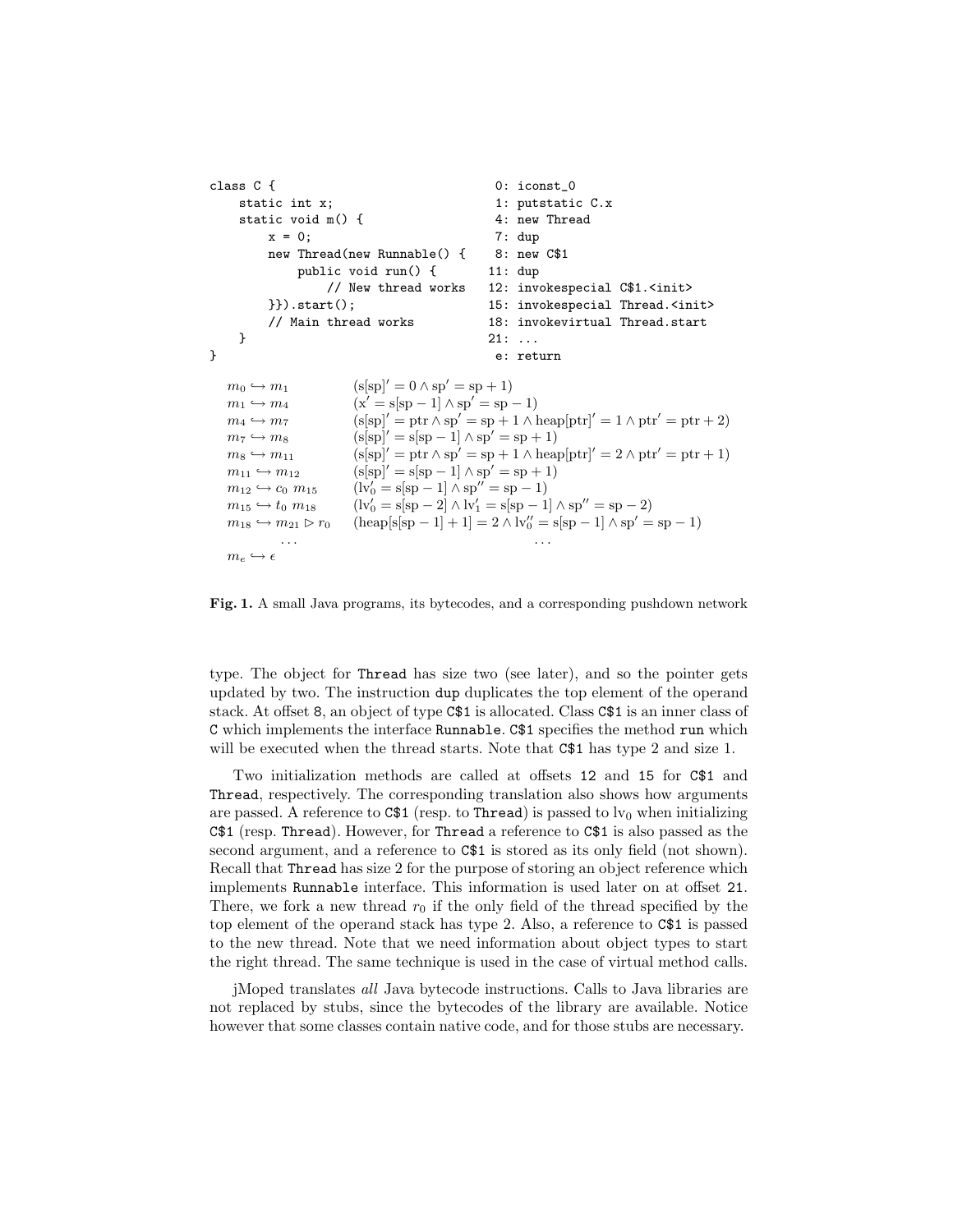```
class C { 0: iconst_0
    static int x; 1: putstatic C.x
    static void m() { 4: new Thread
         x = 0; 7: dup
         new Thread(new Runnable() { 8: new C$1
              public void run() { 11: dup
                    // New thread works 12: invokespecial C$1.<init>
         }}).start(); 15: invokespecial Thread.<init>
         // Main thread works 18: invokevirtual Thread.start
    } 21: ...
} e: return
  m_0 \hookrightarrow m_1  (s[sp]' = 0 \wedge sp' = sp + 1)m_1 \hookrightarrow m_4 (x' = s[sp - 1] \wedge sp' = sp - 1)m_4 \hookrightarrow m_7 (s[sp]' = ptr \wedge sp' = sp + 1 \wedge heap[ptr]' = 1 \wedge ptr' = ptr + 2)
  m_7 \hookrightarrow m_8 (s[sp]' = s[sp - 1] \wedge sp' = sp + 1)
  m_8 \hookrightarrow m_{11} \hspace{1cm} (\mathrm{s}[\mathrm{sp}]' = \mathrm{ptr} \wedge \mathrm{sp}' = \mathrm{sp} + 1 \wedge \mathrm{heap}[\mathrm{ptr}]' = 2 \wedge \mathrm{ptr}' = \mathrm{ptr} + 1)m_{11} \hookrightarrow m_{12} (s[{\rm sp}]' = s[{\rm sp} - 1] \wedge {\rm sp}' = {\rm sp} + 1)m_{12} \hookrightarrow c_0 m_{15}(1v'_0 = s[sp - 1] \wedge sp'' = sp - 1)m_{15} \hookrightarrow t_0 m_{18}\overline{\mathcal{O}}_0 = s[\overline{sp} - 2] \wedge \overline{lv_1'} = s[\overline{sp} - 1] \wedge sp'' = sp - 2m_{18} \hookrightarrow m_{21} \triangleright r_0 (heap[s[sp - 1] + 1] = 2 \land lv''' = s[sp - 1] \land sp' = sp - 1)
            . . . . . .
  m_e \hookrightarrow \epsilon
```
Fig. 1. A small Java programs, its bytecodes, and a corresponding pushdown network

type. The object for Thread has size two (see later), and so the pointer gets updated by two. The instruction dup duplicates the top element of the operand stack. At offset 8, an object of type C\$1 is allocated. Class C\$1 is an inner class of C which implements the interface Runnable. C\$1 specifies the method run which will be executed when the thread starts. Note that  $C$1$  has type 2 and size 1.

Two initialization methods are called at offsets 12 and 15 for C\$1 and Thread, respectively. The corresponding translation also shows how arguments are passed. A reference to  $C$1$  (resp. to Thread) is passed to  $lv_0$  when initializing C\$1 (resp. Thread). However, for Thread a reference to C\$1 is also passed as the second argument, and a reference to  $C$1 is stored as its only field (not shown).$ Recall that Thread has size 2 for the purpose of storing an object reference which implements Runnable interface. This information is used later on at offset 21. There, we fork a new thread  $r_0$  if the only field of the thread specified by the top element of the operand stack has type 2. Also, a reference to C\$1 is passed to the new thread. Note that we need information about object types to start the right thread. The same technique is used in the case of virtual method calls.

jMoped translates all Java bytecode instructions. Calls to Java libraries are not replaced by stubs, since the bytecodes of the library are available. Notice however that some classes contain native code, and for those stubs are necessary.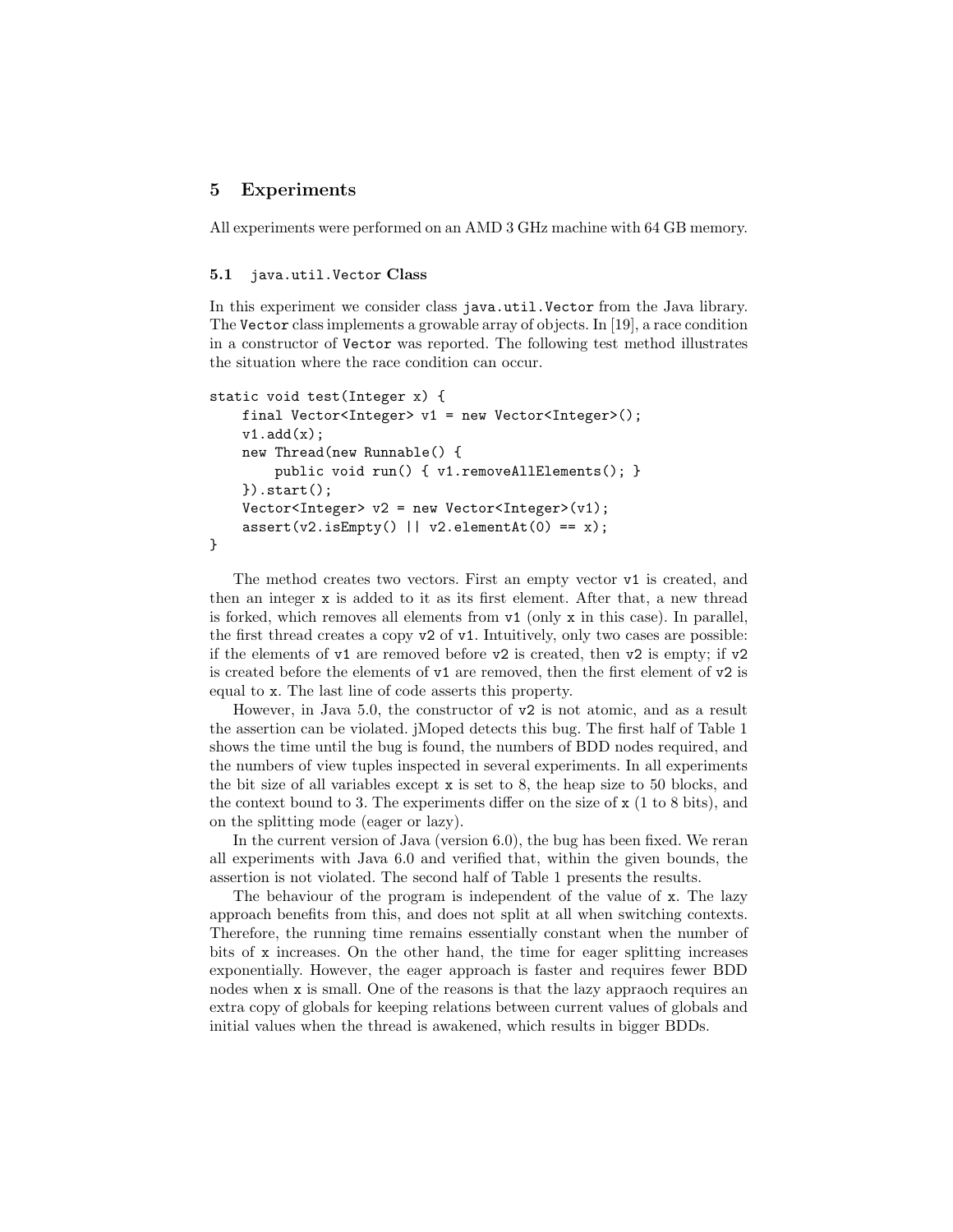### 5 Experiments

All experiments were performed on an AMD 3 GHz machine with 64 GB memory.

### 5.1 java.util.Vector Class

In this experiment we consider class java.util.Vector from the Java library. The Vector class implements a growable array of objects. In [19], a race condition in a constructor of Vector was reported. The following test method illustrates the situation where the race condition can occur.

```
static void test(Integer x) {
   final Vector<Integer> v1 = new Vector<Integer>();
   v1.add(x);new Thread(new Runnable() {
       public void run() { v1.removeAllElements(); }
   }).start();
   Vector<Inter>2 = new Vector<Inter>(v1);assert(v2.isEmpty() || v2.elementAt(0) == x);}
```
The method creates two vectors. First an empty vector v1 is created, and then an integer x is added to it as its first element. After that, a new thread is forked, which removes all elements from v1 (only x in this case). In parallel, the first thread creates a copy v2 of v1. Intuitively, only two cases are possible: if the elements of  $v1$  are removed before  $v2$  is created, then  $v2$  is empty; if  $v2$ is created before the elements of v1 are removed, then the first element of v2 is equal to x. The last line of code asserts this property.

However, in Java 5.0, the constructor of v2 is not atomic, and as a result the assertion can be violated. jMoped detects this bug. The first half of Table 1 shows the time until the bug is found, the numbers of BDD nodes required, and the numbers of view tuples inspected in several experiments. In all experiments the bit size of all variables except x is set to 8, the heap size to 50 blocks, and the context bound to 3. The experiments differ on the size of x (1 to 8 bits), and on the splitting mode (eager or lazy).

In the current version of Java (version 6.0), the bug has been fixed. We reran all experiments with Java 6.0 and verified that, within the given bounds, the assertion is not violated. The second half of Table 1 presents the results.

The behaviour of the program is independent of the value of x. The lazy approach benefits from this, and does not split at all when switching contexts. Therefore, the running time remains essentially constant when the number of bits of x increases. On the other hand, the time for eager splitting increases exponentially. However, the eager approach is faster and requires fewer BDD nodes when x is small. One of the reasons is that the lazy appraoch requires an extra copy of globals for keeping relations between current values of globals and initial values when the thread is awakened, which results in bigger BDDs.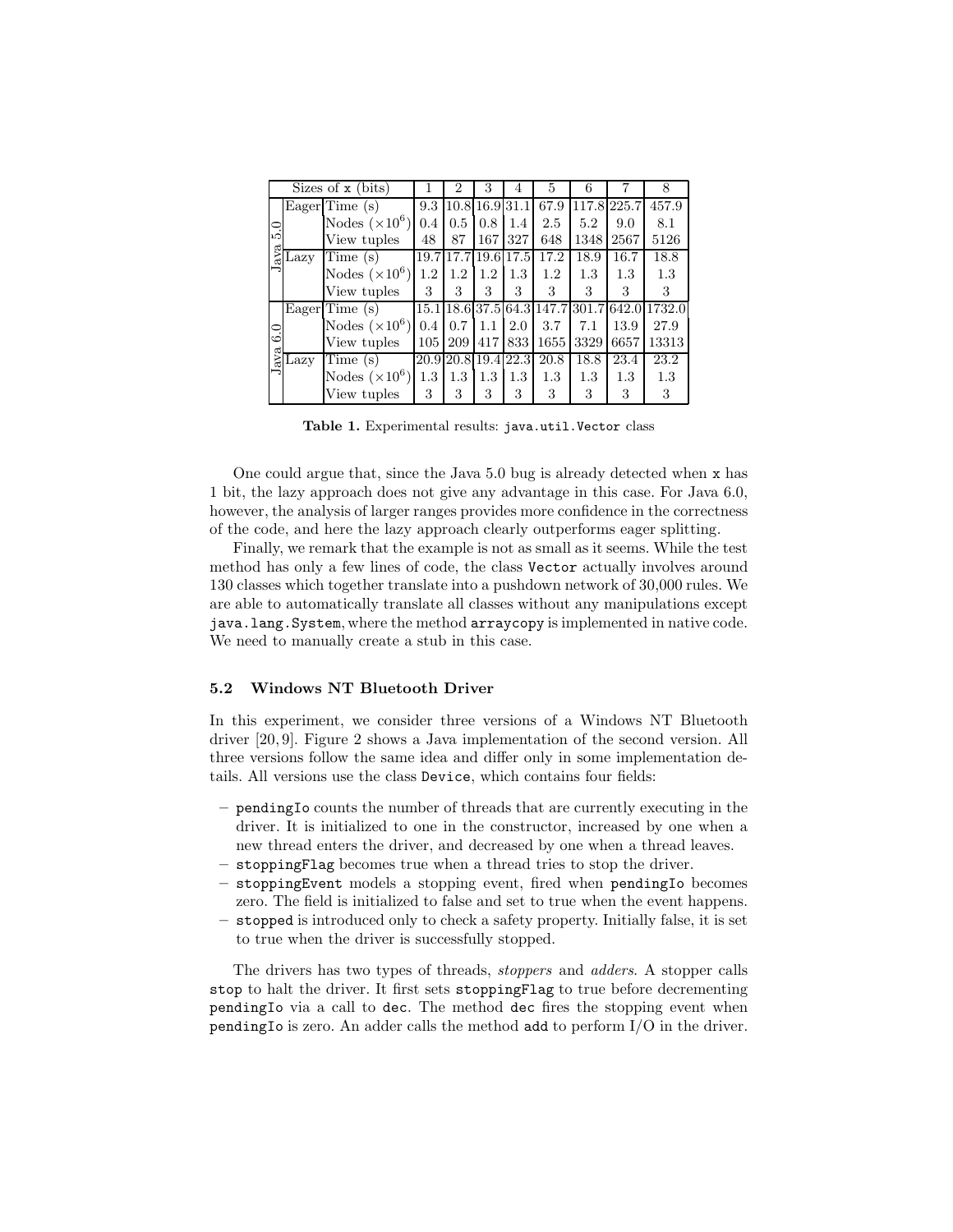|                  |      | Sizes of x (bits)            |      | $\overline{2}$ | 3    | 4              | 5    | 6    |             | 8                                       |
|------------------|------|------------------------------|------|----------------|------|----------------|------|------|-------------|-----------------------------------------|
|                  |      | Eager Time $(s)$             | 9.3  |                |      | 10.8 16.9 31.1 | 67.9 |      | 117.8 225.7 | 457.9                                   |
| 5.0              |      | Nodes $(\times 10^6)$        | 0.4  | 0.5            | 0.8  | 1.4            | 2.5  | 5.2  | 9.0         | 8.1                                     |
| ದ                |      | View tuples                  | 48   | 87             | 167  | 327            | 648  | 1348 | 2567        | 5126                                    |
| ä                | Lazy | $\overline{\text{Time}}$ (s) | 19.7 |                |      | 19.6 17.5      | 17.2 | 18.9 | 16.7        | 18.8                                    |
|                  |      | Nodes $(\times 10^6)$        | 1.2  | 1.2            | 1.2  | 1.3            | 1.2  | 1.3  | 1.3         | 1.3                                     |
|                  |      | View tuples                  | 3    | 3              | 3    | 3              | 3    | 3    | 3           | 3                                       |
|                  |      | Eager Time $(s)$             | 15.1 |                |      |                |      |      |             | 18.6 37.5 64.3 147.7 301.7 642.0 1732.0 |
| $\overline{6.0}$ |      | Nodes $(\times 10^6)$        | 0.4  | 0.7            | 1.1  | 2.0            | 3.7  | 7.1  | 13.9        | 27.9                                    |
|                  |      | View tuples                  | 105  | 209            | 417  | 833            | 1655 | 3329 | 6657        | 13313                                   |
| ava              | Lazy | Time(s)                      | 20.9 | 20.8           | 19.4 | 22.3           | 20.8 | 18.8 | 23.4        | 23.2                                    |
|                  |      | Nodes $(\times 10^6)$        | 1.3  | 1.3            | 1.3  | 1.3            | 1.3  | 1.3  | 1.3         | 1.3                                     |
|                  |      | View tuples                  | 3    | 3              | 3    | 3              | 3    | 3    | 3           | 3                                       |

Table 1. Experimental results: java.util.Vector class

One could argue that, since the Java 5.0 bug is already detected when x has 1 bit, the lazy approach does not give any advantage in this case. For Java 6.0, however, the analysis of larger ranges provides more confidence in the correctness of the code, and here the lazy approach clearly outperforms eager splitting.

Finally, we remark that the example is not as small as it seems. While the test method has only a few lines of code, the class Vector actually involves around 130 classes which together translate into a pushdown network of 30,000 rules. We are able to automatically translate all classes without any manipulations except java.lang.System, where the method arraycopy is implemented in native code. We need to manually create a stub in this case.

### 5.2 Windows NT Bluetooth Driver

In this experiment, we consider three versions of a Windows NT Bluetooth driver [20, 9]. Figure 2 shows a Java implementation of the second version. All three versions follow the same idea and differ only in some implementation details. All versions use the class Device, which contains four fields:

- pendingIo counts the number of threads that are currently executing in the driver. It is initialized to one in the constructor, increased by one when a new thread enters the driver, and decreased by one when a thread leaves.
- stoppingFlag becomes true when a thread tries to stop the driver.
- stoppingEvent models a stopping event, fired when pendingIo becomes zero. The field is initialized to false and set to true when the event happens.
- stopped is introduced only to check a safety property. Initially false, it is set to true when the driver is successfully stopped.

The drivers has two types of threads, stoppers and adders. A stopper calls stop to halt the driver. It first sets stoppingFlag to true before decrementing pendingIo via a call to dec. The method dec fires the stopping event when pendingIo is zero. An adder calls the method add to perform I/O in the driver.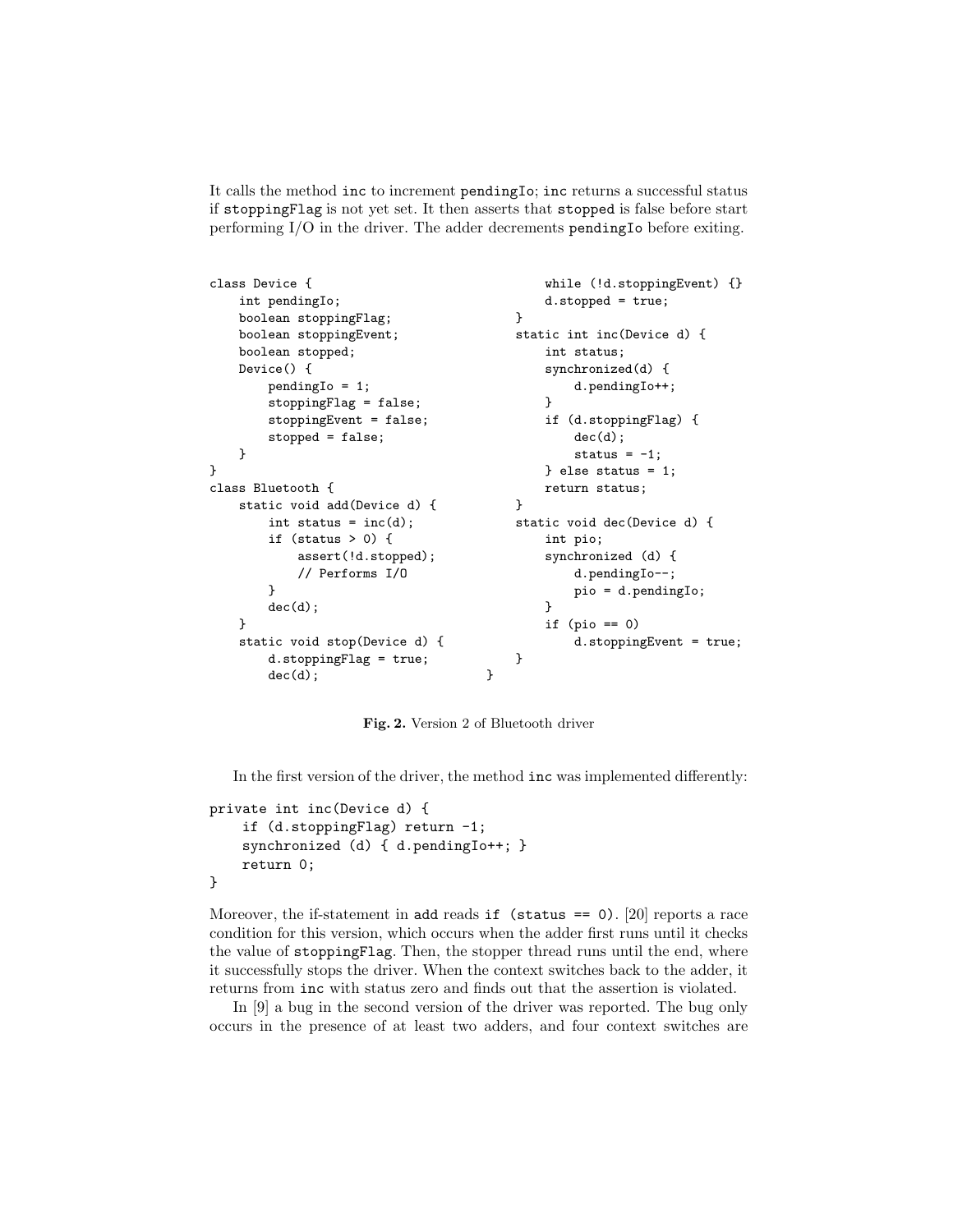It calls the method inc to increment pendingIo; inc returns a successful status if stoppingFlag is not yet set. It then asserts that stopped is false before start performing I/O in the driver. The adder decrements pendingIo before exiting.

```
class Device {
    int pendingIo;
    boolean stoppingFlag;
    boolean stoppingEvent;
   boolean stopped;
    Device() {
        pendingIo = 1;
        stoppingFlag = false;
        stoppingEvent = false;
        stopped = false;
   }
}
class Bluetooth {
    static void add(Device d) {
        int status = inc(d);
        if (status > 0) {
            assert(!d.stopped);
            // Performs I/O
        }
        dec(d);
    }
    static void stop(Device d) {
        d.stoppingFlag = true;
        dec(d);
                                               while (!d.stoppingEvent) {}
                                               d.stopped = true;
                                          }
                                          static int inc(Device d) {
                                               int status;
                                               synchronized(d) {
                                                   d.pendingIo++;
                                               }
                                              if (d.stoppingFlag) {
                                                   dec(d);
                                                   status = -1;
                                               } else status = 1;
                                               return status;
                                          }
                                          static void dec(Device d) {
                                               int pio;
                                               synchronized (d) {
                                                   d.pendingIo--;
                                                   pio = d.pendingIo;
                                               }
                                               if (pio == 0)d.stoppingEvent = true;
                                          }
                                      }
```
Fig. 2. Version 2 of Bluetooth driver

In the first version of the driver, the method inc was implemented differently:

```
private int inc(Device d) {
    if (d.stoppingFlag) return -1;
    synchronized (d) { d.pendingIo++; }
    return 0;
}
```
Moreover, the if-statement in add reads if (status  $== 0$ ). [20] reports a race condition for this version, which occurs when the adder first runs until it checks the value of stoppingFlag. Then, the stopper thread runs until the end, where it successfully stops the driver. When the context switches back to the adder, it returns from inc with status zero and finds out that the assertion is violated.

In [9] a bug in the second version of the driver was reported. The bug only occurs in the presence of at least two adders, and four context switches are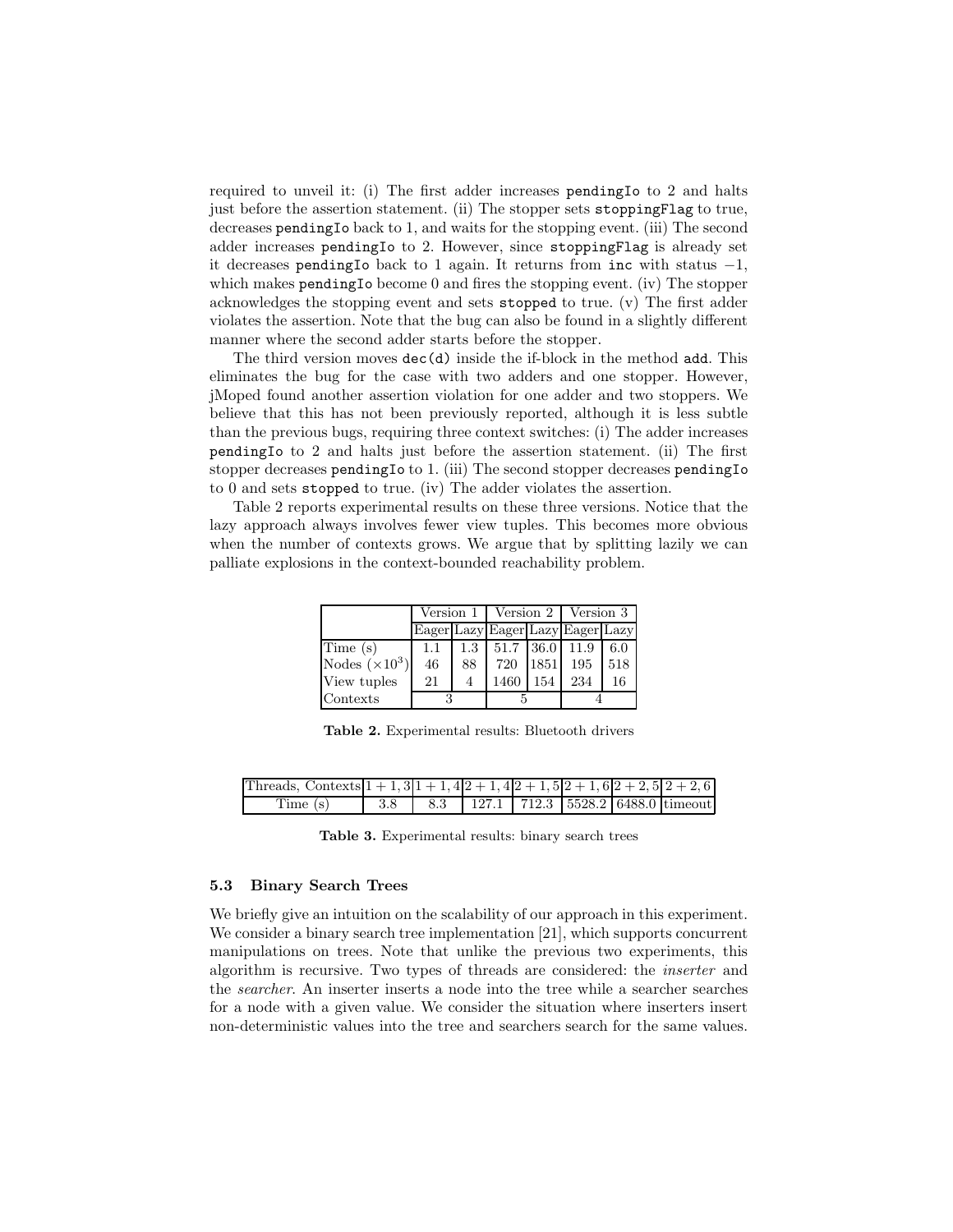required to unveil it: (i) The first adder increases pendingIo to 2 and halts just before the assertion statement. (ii) The stopper sets stoppingFlag to true, decreases pendingIo back to 1, and waits for the stopping event. (iii) The second adder increases pendingIo to 2. However, since stoppingFlag is already set it decreases pendingIo back to 1 again. It returns from inc with status −1, which makes **pendingIo** become 0 and fires the stopping event. (iv) The stopper acknowledges the stopping event and sets stopped to true. (v) The first adder violates the assertion. Note that the bug can also be found in a slightly different manner where the second adder starts before the stopper.

The third version moves  $dec(d)$  inside the if-block in the method add. This eliminates the bug for the case with two adders and one stopper. However, jMoped found another assertion violation for one adder and two stoppers. We believe that this has not been previously reported, although it is less subtle than the previous bugs, requiring three context switches: (i) The adder increases pendingIo to 2 and halts just before the assertion statement. (ii) The first stopper decreases pendingIo to 1. (iii) The second stopper decreases pendingIo to 0 and sets stopped to true. (iv) The adder violates the assertion.

Table 2 reports experimental results on these three versions. Notice that the lazy approach always involves fewer view tuples. This becomes more obvious when the number of contexts grows. We argue that by splitting lazily we can palliate explosions in the context-bounded reachability problem.

|                       | Version 1                        |     |                 |      | Version 2   Version 3 |     |  |
|-----------------------|----------------------------------|-----|-----------------|------|-----------------------|-----|--|
|                       | Eager Lazy Eager Lazy Eager Lazy |     |                 |      |                       |     |  |
| Time (s)              | 1.1                              | 1.3 | $51.7 \pm 36.0$ |      | 11.9                  | 6.0 |  |
| Nodes $(\times 10^3)$ | 46                               | 88  | 720             | 1851 | 195                   | 518 |  |
| View tuples           | 21                               |     | 1460            | 154  | 234                   | 16  |  |
| Contexts              |                                  |     |                 |      |                       |     |  |

Table 2. Experimental results: Bluetooth drivers

| Threads, Contexts $1 + 1$ , $3\overline{1} + 1$ , $4\overline{2} + 1$ , $4\overline{2} + 1$ , $5\overline{2} + 1$ , $6\overline{2} + 2$ , $5\overline{2} + 2$ , $6\overline{2}$ |     |     |  |  |                                           |
|---------------------------------------------------------------------------------------------------------------------------------------------------------------------------------|-----|-----|--|--|-------------------------------------------|
| Time(s)                                                                                                                                                                         | 3.8 | 8.3 |  |  | 127.1   712.3   5528.2   6488.0   timeout |

Table 3. Experimental results: binary search trees

#### 5.3 Binary Search Trees

We briefly give an intuition on the scalability of our approach in this experiment. We consider a binary search tree implementation [21], which supports concurrent manipulations on trees. Note that unlike the previous two experiments, this algorithm is recursive. Two types of threads are considered: the inserter and the searcher. An inserter inserts a node into the tree while a searcher searches for a node with a given value. We consider the situation where inserters insert non-deterministic values into the tree and searchers search for the same values.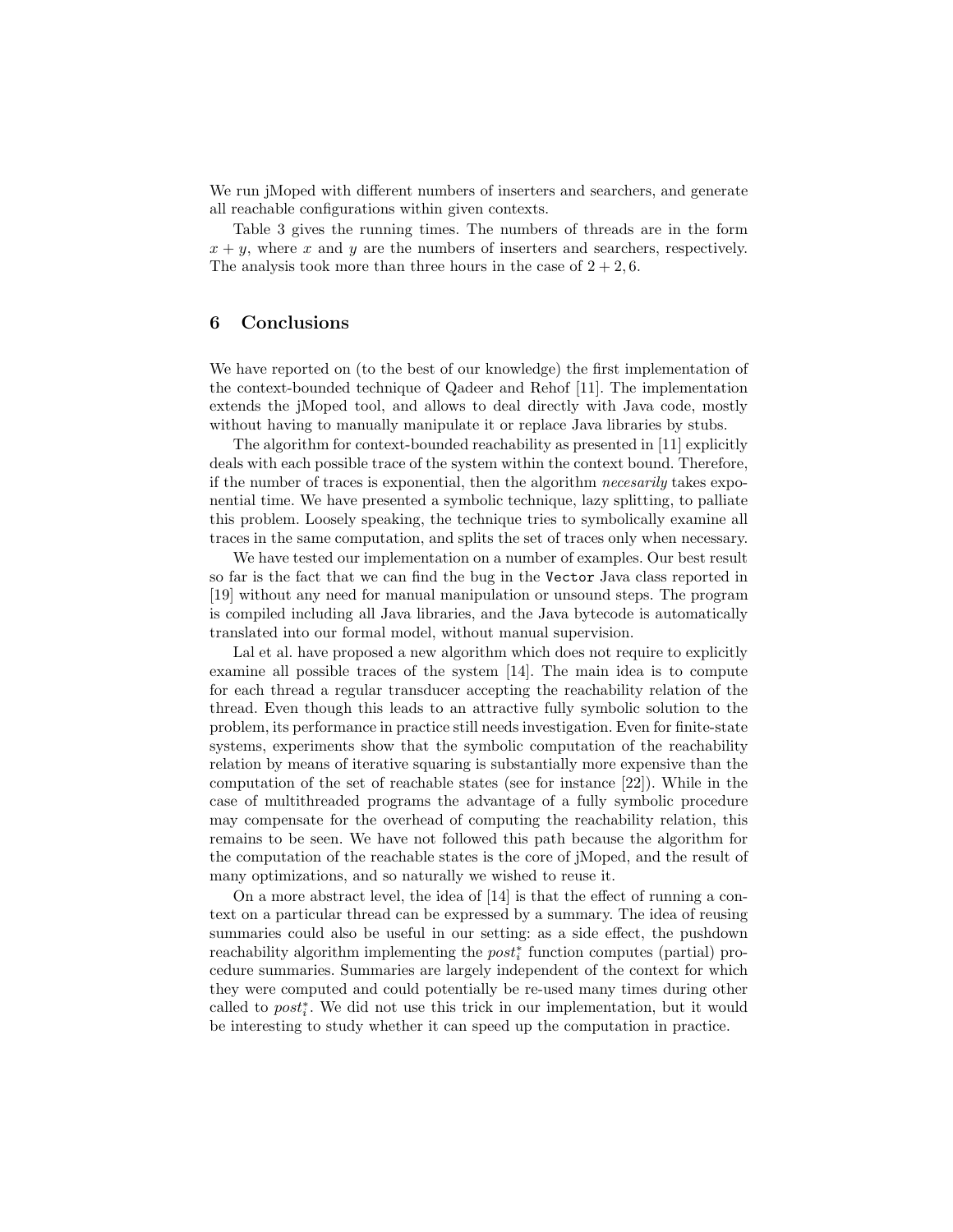We run jMoped with different numbers of inserters and searchers, and generate all reachable configurations within given contexts.

Table 3 gives the running times. The numbers of threads are in the form  $x + y$ , where x and y are the numbers of inserters and searchers, respectively. The analysis took more than three hours in the case of  $2 + 2, 6$ .

# 6 Conclusions

We have reported on (to the best of our knowledge) the first implementation of the context-bounded technique of Qadeer and Rehof [11]. The implementation extends the jMoped tool, and allows to deal directly with Java code, mostly without having to manually manipulate it or replace Java libraries by stubs.

The algorithm for context-bounded reachability as presented in [11] explicitly deals with each possible trace of the system within the context bound. Therefore, if the number of traces is exponential, then the algorithm necesarily takes exponential time. We have presented a symbolic technique, lazy splitting, to palliate this problem. Loosely speaking, the technique tries to symbolically examine all traces in the same computation, and splits the set of traces only when necessary.

We have tested our implementation on a number of examples. Our best result so far is the fact that we can find the bug in the Vector Java class reported in [19] without any need for manual manipulation or unsound steps. The program is compiled including all Java libraries, and the Java bytecode is automatically translated into our formal model, without manual supervision.

Lal et al. have proposed a new algorithm which does not require to explicitly examine all possible traces of the system [14]. The main idea is to compute for each thread a regular transducer accepting the reachability relation of the thread. Even though this leads to an attractive fully symbolic solution to the problem, its performance in practice still needs investigation. Even for finite-state systems, experiments show that the symbolic computation of the reachability relation by means of iterative squaring is substantially more expensive than the computation of the set of reachable states (see for instance [22]). While in the case of multithreaded programs the advantage of a fully symbolic procedure may compensate for the overhead of computing the reachability relation, this remains to be seen. We have not followed this path because the algorithm for the computation of the reachable states is the core of jMoped, and the result of many optimizations, and so naturally we wished to reuse it.

On a more abstract level, the idea of [14] is that the effect of running a context on a particular thread can be expressed by a summary. The idea of reusing summaries could also be useful in our setting: as a side effect, the pushdown reachability algorithm implementing the  $post_i^*$  function computes (partial) procedure summaries. Summaries are largely independent of the context for which they were computed and could potentially be re-used many times during other called to  $post_i^*$ . We did not use this trick in our implementation, but it would be interesting to study whether it can speed up the computation in practice.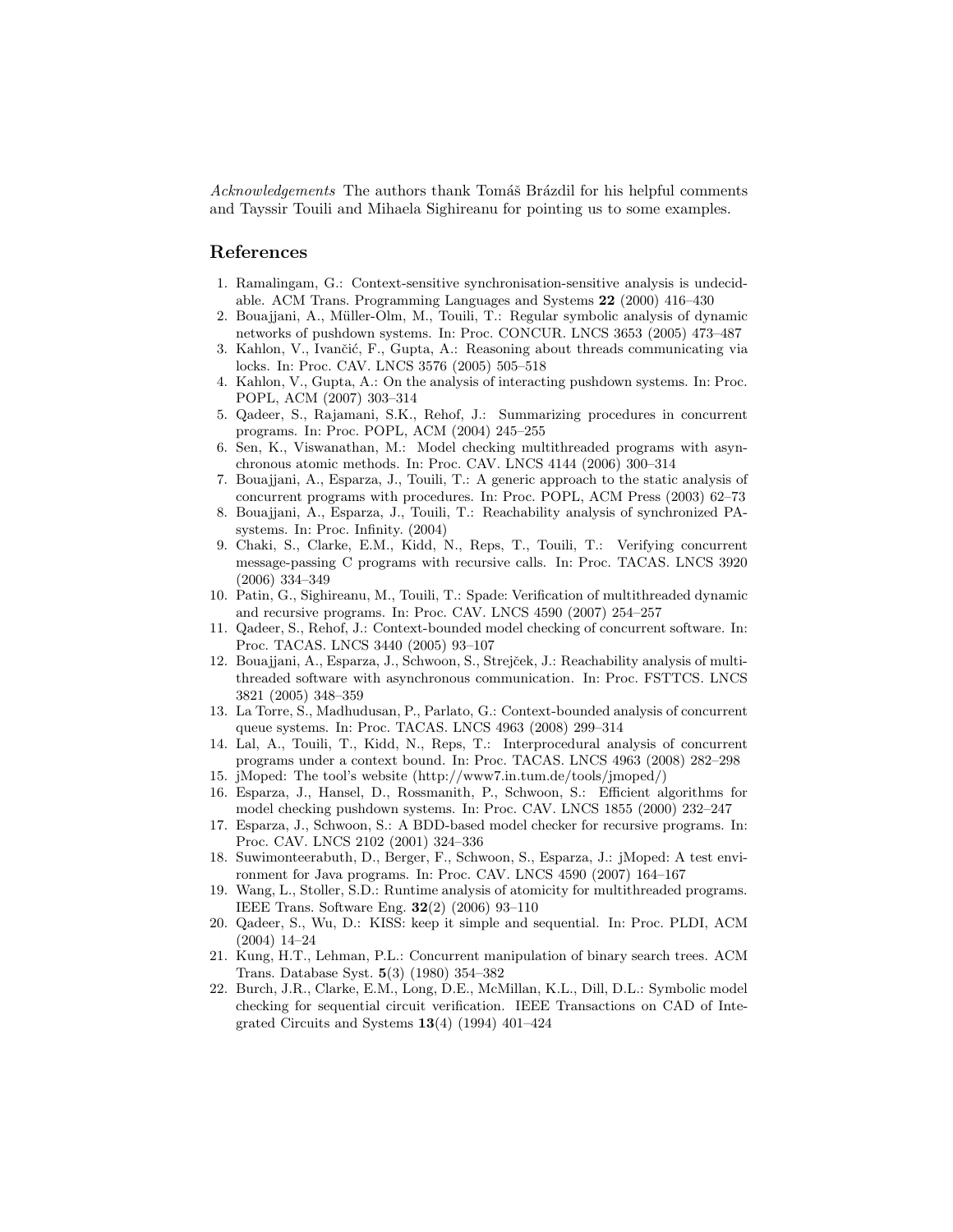Acknowledgements The authors thank Tomáš Brázdil for his helpful comments and Tayssir Touili and Mihaela Sighireanu for pointing us to some examples.

### References

- 1. Ramalingam, G.: Context-sensitive synchronisation-sensitive analysis is undecidable. ACM Trans. Programming Languages and Systems 22 (2000) 416–430
- 2. Bouajjani, A., Müller-Olm, M., Touili, T.: Regular symbolic analysis of dynamic networks of pushdown systems. In: Proc. CONCUR. LNCS 3653 (2005) 473–487
- 3. Kahlon, V., Ivančić, F., Gupta, A.: Reasoning about threads communicating via locks. In: Proc. CAV. LNCS 3576 (2005) 505–518
- 4. Kahlon, V., Gupta, A.: On the analysis of interacting pushdown systems. In: Proc. POPL, ACM (2007) 303–314
- 5. Qadeer, S., Rajamani, S.K., Rehof, J.: Summarizing procedures in concurrent programs. In: Proc. POPL, ACM (2004) 245–255
- 6. Sen, K., Viswanathan, M.: Model checking multithreaded programs with asynchronous atomic methods. In: Proc. CAV. LNCS 4144 (2006) 300–314
- 7. Bouajjani, A., Esparza, J., Touili, T.: A generic approach to the static analysis of concurrent programs with procedures. In: Proc. POPL, ACM Press (2003) 62–73
- 8. Bouajjani, A., Esparza, J., Touili, T.: Reachability analysis of synchronized PAsystems. In: Proc. Infinity. (2004)
- 9. Chaki, S., Clarke, E.M., Kidd, N., Reps, T., Touili, T.: Verifying concurrent message-passing C programs with recursive calls. In: Proc. TACAS. LNCS 3920 (2006) 334–349
- 10. Patin, G., Sighireanu, M., Touili, T.: Spade: Verification of multithreaded dynamic and recursive programs. In: Proc. CAV. LNCS 4590 (2007) 254–257
- 11. Qadeer, S., Rehof, J.: Context-bounded model checking of concurrent software. In: Proc. TACAS. LNCS 3440 (2005) 93–107
- 12. Bouajjani, A., Esparza, J., Schwoon, S., Strejček, J.: Reachability analysis of multithreaded software with asynchronous communication. In: Proc. FSTTCS. LNCS 3821 (2005) 348–359
- 13. La Torre, S., Madhudusan, P., Parlato, G.: Context-bounded analysis of concurrent queue systems. In: Proc. TACAS. LNCS 4963 (2008) 299–314
- 14. Lal, A., Touili, T., Kidd, N., Reps, T.: Interprocedural analysis of concurrent programs under a context bound. In: Proc. TACAS. LNCS 4963 (2008) 282–298
- 15. jMoped: The tool's website (http://www7.in.tum.de/tools/jmoped/)
- 16. Esparza, J., Hansel, D., Rossmanith, P., Schwoon, S.: Efficient algorithms for model checking pushdown systems. In: Proc. CAV. LNCS 1855 (2000) 232–247
- 17. Esparza, J., Schwoon, S.: A BDD-based model checker for recursive programs. In: Proc. CAV. LNCS 2102 (2001) 324–336
- 18. Suwimonteerabuth, D., Berger, F., Schwoon, S., Esparza, J.: jMoped: A test environment for Java programs. In: Proc. CAV. LNCS 4590 (2007) 164–167
- 19. Wang, L., Stoller, S.D.: Runtime analysis of atomicity for multithreaded programs. IEEE Trans. Software Eng. 32(2) (2006) 93–110
- 20. Qadeer, S., Wu, D.: KISS: keep it simple and sequential. In: Proc. PLDI, ACM (2004) 14–24
- 21. Kung, H.T., Lehman, P.L.: Concurrent manipulation of binary search trees. ACM Trans. Database Syst. 5(3) (1980) 354–382
- 22. Burch, J.R., Clarke, E.M., Long, D.E., McMillan, K.L., Dill, D.L.: Symbolic model checking for sequential circuit verification. IEEE Transactions on CAD of Integrated Circuits and Systems  $13(4)$  (1994) 401–424